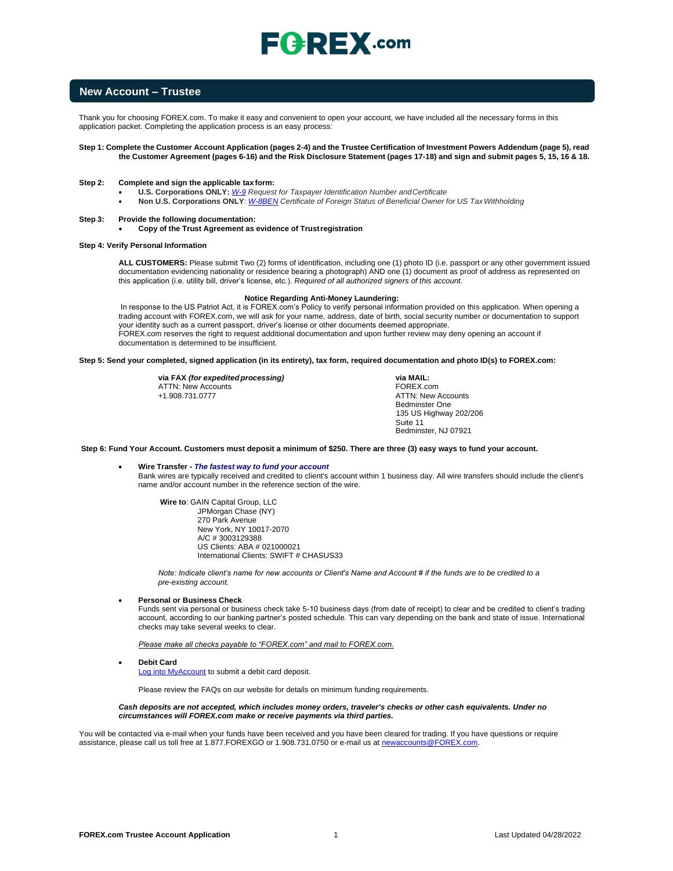# $\mathsf{F}$ **Q**: REX .com

### **New Account – Trustee**

Thank you for choosing FOREX.com. To make it easy and convenient to open your account, we have included all the necessary forms in this application packet. Completing the application process is an easy process:

#### **Step 1: Complete the Customer Account Application (pages 2-4) and the Trustee Certification of Investment Powers Addendum (page 5), read the Customer Agreement (pages 6-16) and the Risk Disclosure Statement (pages 17-18) and sign and submit pages 5, 15, 16 & 18.**

#### **Step 2: Complete and sign the applicable tax form:**

- **U.S. Corporations ONLY:** *[W-9](https://www.irs.gov/pub/irs-pdf/fw9.pdf) Request for Taxpayer Identification Number andCertificate*
- **Non U.S. Corporations ONLY**: *[W-8BEN](https://www.irs.gov/pub/irs-pdf/fw8ben.pdf) Certificate of Foreign Status of Beneficial Owner for US TaxWithholding*

#### **Step 3: Provide the following documentation:**

#### • **Copy of the Trust Agreement as evidence of Trustregistration**

#### **Step 4: Verify Personal Information**

**ALL CUSTOMERS:** Please submit Two (2) forms of identification, including one (1) photo ID (i.e. passport or any other government issued documentation evidencing nationality or residence bearing a photograph) AND one (1) document as proof of address as represented on this application (i.e. utility bill, driver's license, etc.). *Required of all authorized signers of this account.*

#### **Notice Regarding Anti-Money Laundering:**

In response to the US Patriot Act, it is FOREX.com's Policy to verify personal information provided on this application. When opening a trading account with FOREX.com, we will ask for your name, address, date of birth, social security number or documentation to support your identity such as a current passport, driver's license or other documents deemed appropriate. FOREX.com reserves the right to request additional documentation and upon further review may deny opening an account if documentation is determined to be insufficient.

#### **Step 5: Send your completed, signed application (in its entirety), tax form, required documentation and photo ID(s) to FOREX.com:**

**via FAX** *(for expedited processing)* ATTN: New Accounts +1.908.731.0777

**via MAIL:** FOREX.com ATTN: New Accounts Bedminster One 135 US Highway 202/206 Suite 11 Bedminster, NJ 07921

#### **Step 6: Fund Your Account. Customers must deposit a minimum of \$250. There are three (3) easy ways to fund your account.**

#### • **Wire Transfer -** *The fastest way to fund your account* Bank wires are typically received and credited to client's account within 1 business day. All wire transfers should include the client's name and/or account number in the reference section of the wire.

**Wire to**: GAIN Capital Group, LLC JPMorgan Chase (NY) 270 Park Avenue New York, NY 10017-2070 A/C # 3003129388 US Clients: ABA # 021000021 International Clients: SWIFT # CHASUS33

*Note: Indicate client's name for new accounts or Client's Name and Account # if the funds are to be credited to a pre-existing account.*

#### • **Personal or Business Check**

Funds sent via personal or business check take 5-10 business days (from date of receipt) to clear and be credited to client's trading account, according to our banking partner's posted schedule. This can vary depending on the bank and state of issue. International checks may take several weeks to clear.

*Please make all checks payable to "FOREX.com" and mail to FOREX.com.*

• **Debit Card**

[Log into MyAccount](http://www.forex.com/myaccount.html) to submit a debit card deposit.

Please review the FAQs on our website for details on minimum funding requirements.

#### *Cash deposits are not accepted, which includes money orders, traveler's checks or other cash equivalents. Under no circumstances will FOREX.com make or receive payments via third parties.*

You will be contacted via e-mail when your funds have been received and you have been cleared for trading. If you have questions or require assistance, please call us toll free at 1.877.FOREXGO or 1.908.731.0750 or e-mail us at newaccounts@FO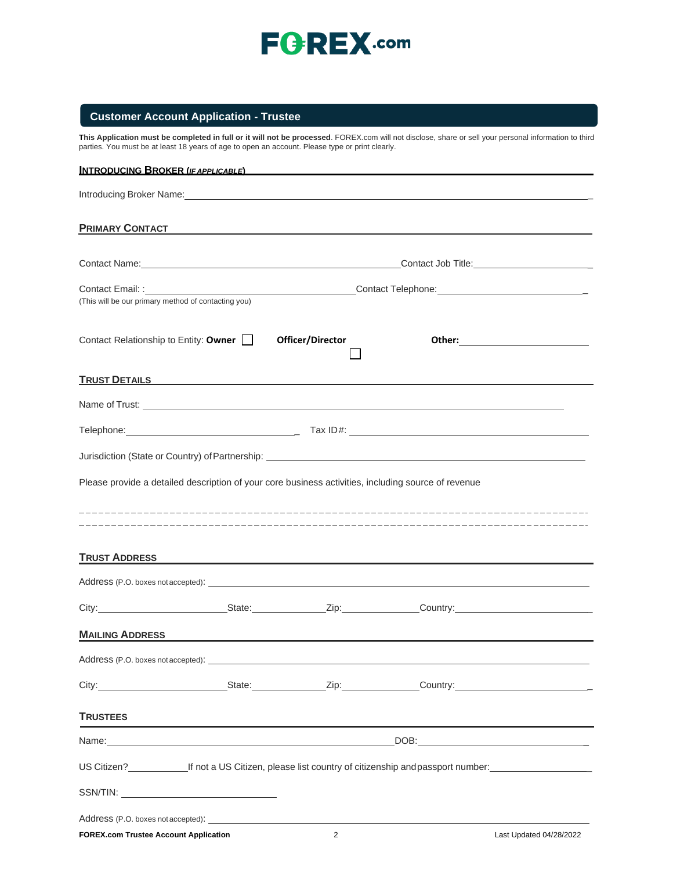

## **Customer Account Application - Trustee**

**This Application must be completed in full or it will not be processed**. FOREX.com will not disclose, share or sell your personal information to third parties. You must be at least 18 years of age to open an account. Please type or print clearly.

| <b>INTRODUCING BROKER (IFAPPLICABLE)</b>            |                                                                                                                                                                                                                                      |                                                                                                                                                                                                                                      |  |
|-----------------------------------------------------|--------------------------------------------------------------------------------------------------------------------------------------------------------------------------------------------------------------------------------------|--------------------------------------------------------------------------------------------------------------------------------------------------------------------------------------------------------------------------------------|--|
|                                                     |                                                                                                                                                                                                                                      |                                                                                                                                                                                                                                      |  |
| <b>PRIMARY CONTACT</b>                              | <u> 1980 - Andrea Andrew Maria (h. 1980).</u>                                                                                                                                                                                        |                                                                                                                                                                                                                                      |  |
|                                                     |                                                                                                                                                                                                                                      |                                                                                                                                                                                                                                      |  |
| (This will be our primary method of contacting you) |                                                                                                                                                                                                                                      |                                                                                                                                                                                                                                      |  |
| Contact Relationship to Entity: Owner               | Officer/Director                                                                                                                                                                                                                     |                                                                                                                                                                                                                                      |  |
|                                                     | TRUST DETAILS <b>And the Contract of the Contract of Trust And Trust And Trust And Trust And Trust And Trust And Trust And Trust And Trust And Trust And Trust And Trust And Trust And Trust And Trust And Trust And Trust And T</b> |                                                                                                                                                                                                                                      |  |
|                                                     |                                                                                                                                                                                                                                      | Name of Trust: <u>contract and the contract of the contract of the contract of the contract of the contract of the contract of the contract of the contract of the contract of the contract of the contract of the contract of t</u> |  |
|                                                     |                                                                                                                                                                                                                                      |                                                                                                                                                                                                                                      |  |
|                                                     |                                                                                                                                                                                                                                      |                                                                                                                                                                                                                                      |  |
|                                                     | Please provide a detailed description of your core business activities, including source of revenue                                                                                                                                  |                                                                                                                                                                                                                                      |  |
| <b>TRUST ADDRESS</b>                                |                                                                                                                                                                                                                                      |                                                                                                                                                                                                                                      |  |
|                                                     |                                                                                                                                                                                                                                      |                                                                                                                                                                                                                                      |  |
|                                                     |                                                                                                                                                                                                                                      | City: City: City: City: Culture Country: Country: Country: Country: Country: Country: Country: Country: Country: Country: Country: Country: Country: Country: Country: Country: Country: Country: Country: Country: Country: C       |  |
| <b>MAILING ADDRESS</b>                              |                                                                                                                                                                                                                                      |                                                                                                                                                                                                                                      |  |
| Address (P.O. boxes not accepted):                  |                                                                                                                                                                                                                                      |                                                                                                                                                                                                                                      |  |
|                                                     |                                                                                                                                                                                                                                      | City: City: City: City: City: Current Country: Country: Country:                                                                                                                                                                     |  |
| <b>TRUSTEES</b>                                     |                                                                                                                                                                                                                                      |                                                                                                                                                                                                                                      |  |
|                                                     |                                                                                                                                                                                                                                      |                                                                                                                                                                                                                                      |  |
|                                                     |                                                                                                                                                                                                                                      | US Citizen?<br>If not a US Citizen, please list country of citizenship and passport number:                                                                                                                                          |  |
|                                                     |                                                                                                                                                                                                                                      |                                                                                                                                                                                                                                      |  |
|                                                     |                                                                                                                                                                                                                                      |                                                                                                                                                                                                                                      |  |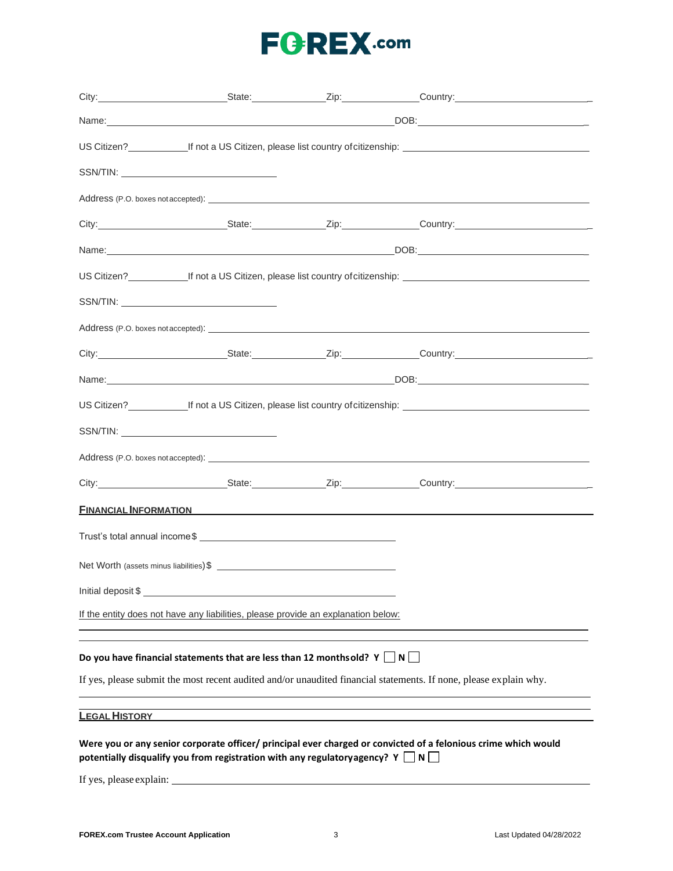|                                                                                   |                                                                                     |  | City: City: City: City: Culture Country: Country: Country: Country: Country: Country: Country: Country: Country: Country: Country: Country: Country: Country: Country: Country: Country: Country: Country: Country: Country: C |  |
|-----------------------------------------------------------------------------------|-------------------------------------------------------------------------------------|--|--------------------------------------------------------------------------------------------------------------------------------------------------------------------------------------------------------------------------------|--|
|                                                                                   |                                                                                     |  |                                                                                                                                                                                                                                |  |
|                                                                                   |                                                                                     |  |                                                                                                                                                                                                                                |  |
|                                                                                   |                                                                                     |  |                                                                                                                                                                                                                                |  |
|                                                                                   |                                                                                     |  |                                                                                                                                                                                                                                |  |
|                                                                                   |                                                                                     |  |                                                                                                                                                                                                                                |  |
|                                                                                   |                                                                                     |  |                                                                                                                                                                                                                                |  |
|                                                                                   |                                                                                     |  |                                                                                                                                                                                                                                |  |
|                                                                                   |                                                                                     |  |                                                                                                                                                                                                                                |  |
|                                                                                   |                                                                                     |  |                                                                                                                                                                                                                                |  |
|                                                                                   |                                                                                     |  |                                                                                                                                                                                                                                |  |
|                                                                                   |                                                                                     |  |                                                                                                                                                                                                                                |  |
|                                                                                   |                                                                                     |  |                                                                                                                                                                                                                                |  |
|                                                                                   |                                                                                     |  |                                                                                                                                                                                                                                |  |
|                                                                                   |                                                                                     |  |                                                                                                                                                                                                                                |  |
|                                                                                   |                                                                                     |  |                                                                                                                                                                                                                                |  |
|                                                                                   |                                                                                     |  | <b>FINANCIAL INFORMATION</b>                                                                                                                                                                                                   |  |
|                                                                                   |                                                                                     |  |                                                                                                                                                                                                                                |  |
|                                                                                   |                                                                                     |  |                                                                                                                                                                                                                                |  |
| Initial deposit \$                                                                |                                                                                     |  |                                                                                                                                                                                                                                |  |
| If the entity does not have any liabilities, please provide an explanation below: |                                                                                     |  |                                                                                                                                                                                                                                |  |
|                                                                                   |                                                                                     |  |                                                                                                                                                                                                                                |  |
|                                                                                   | Do you have financial statements that are less than 12 monthsold? $Y \bigsqcup N$   |  |                                                                                                                                                                                                                                |  |
|                                                                                   |                                                                                     |  | If yes, please submit the most recent audited and/or unaudited financial statements. If none, please explain why.                                                                                                              |  |
| <b>LEGAL HISTORY</b>                                                              |                                                                                     |  |                                                                                                                                                                                                                                |  |
|                                                                                   |                                                                                     |  | Were you or any senior corporate officer/ principal ever charged or convicted of a felonious crime which would                                                                                                                 |  |
|                                                                                   | potentially disqualify you from registration with any regulatory agency? $Y \Box N$ |  |                                                                                                                                                                                                                                |  |

If yes, please explain: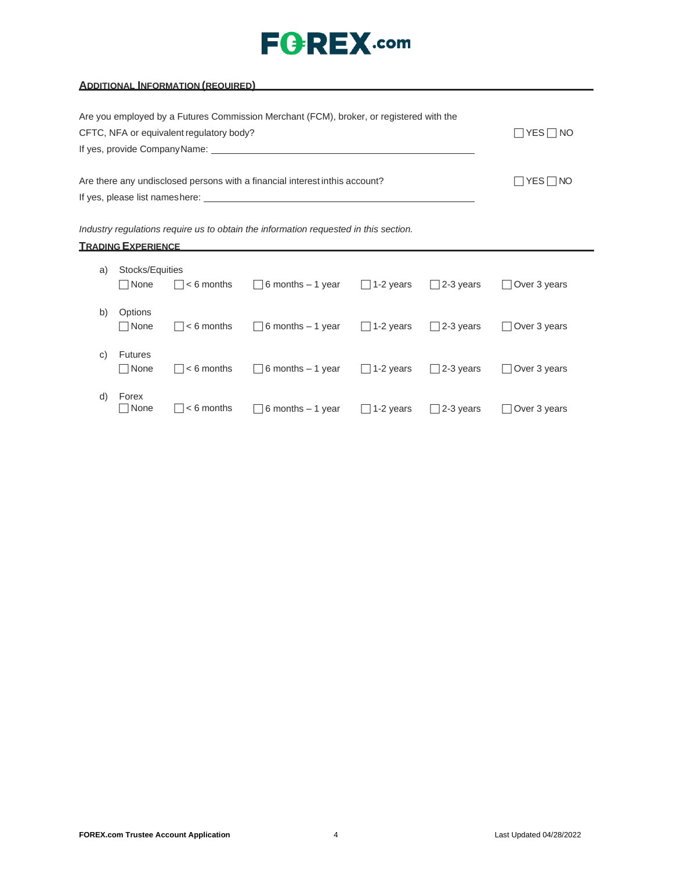| <b>ADDITIONAL INFORMATION (REQUIRED)</b> And the state of the state of the state of the state of the state of the state of the state of the state of the state of the state of the state of the state of the state of the state of |                          |
|------------------------------------------------------------------------------------------------------------------------------------------------------------------------------------------------------------------------------------|--------------------------|
|                                                                                                                                                                                                                                    |                          |
| Are you employed by a Futures Commission Merchant (FCM), broker, or registered with the                                                                                                                                            |                          |
| CFTC, NFA or equivalent regulatory body?                                                                                                                                                                                           | $\Box$ YES $\Box$ NO     |
|                                                                                                                                                                                                                                    |                          |
|                                                                                                                                                                                                                                    |                          |
| Are there any undisclosed persons with a financial interest inthis account?                                                                                                                                                        | $\sqcap$ Yes $\sqcap$ No |
|                                                                                                                                                                                                                                    |                          |
|                                                                                                                                                                                                                                    |                          |

| Industry regulations require us to obtain the information requested in this section. |  |  |  |  |
|--------------------------------------------------------------------------------------|--|--|--|--|
|--------------------------------------------------------------------------------------|--|--|--|--|

| <b>TRADING EXPERIENCE</b> |
|---------------------------|
|---------------------------|

| a) | Stocks/Equities<br><b>□</b> None | $\Box$ < 6 months          | $\Box$ 6 months – 1 year  | $\Box$ 1-2 years | $\Box$ 2-3 years | Over 3 years        |
|----|----------------------------------|----------------------------|---------------------------|------------------|------------------|---------------------|
| b) | Options<br><b>□</b> None         | $\vert \vert$ $<$ 6 months | $\Box$ 6 months – 1 year  | $\Box$ 1-2 years | $\Box$ 2-3 years | Over 3 years        |
| C) | <b>Futures</b><br><b>□</b> None  | $\vert \vert$ $<$ 6 months | $\Box$ 6 months – 1 year  | $\Box$ 1-2 years | $\Box$ 2-3 years | Over 3 years        |
| d) | Forex<br>  None                  | $\vert \vert$ $<$ 6 months | $\Box$ 6 months $-1$ year | $\Box$ 1-2 years | $\Box$ 2-3 years | $\Box$ Over 3 years |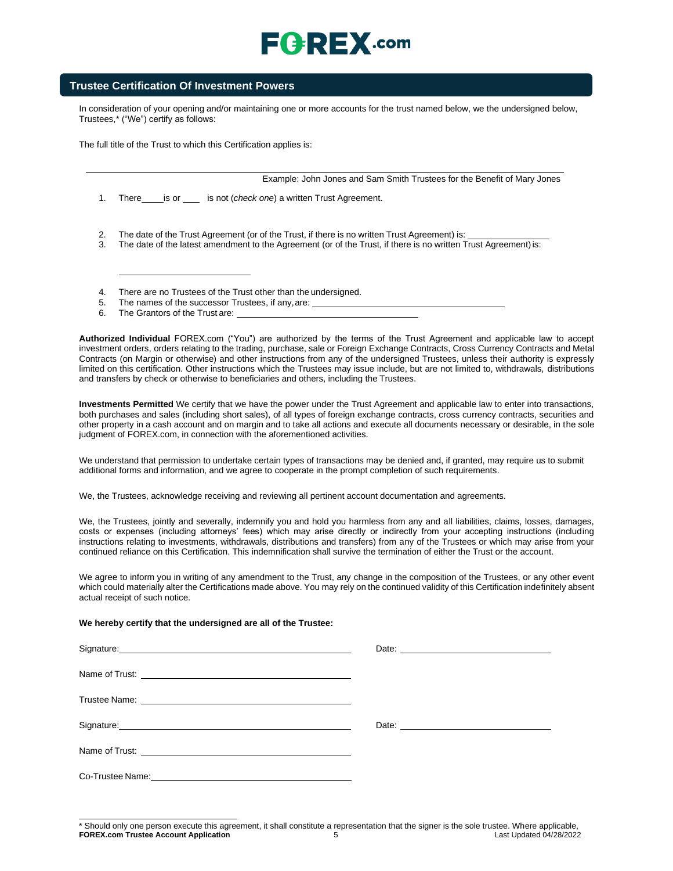# $E$   $R$   $E$   $X$  .com

## **Trustee Certification Of Investment Powers**

In consideration of your opening and/or maintaining one or more accounts for the trust named below, we the undersigned below, Trustee[s,\\* \(](#page-4-0)"We") certify as follows:

The full title of the Trust to which this Certification applies is:

Example: John Jones and Sam Smith Trustees for the Benefit of Mary Jones

1. There is or same is not (*check one*) a written Trust Agreement.

- 2. The date of the Trust Agreement (or of the Trust, if there is no written Trust Agreement) is:
- 3. The date of the latest amendment to the Agreement (or of the Trust, if there is no written Trust Agreement)is:
- 4. There are no Trustees of the Trust other than the undersigned.<br>5. The names of the successor Trustees, if any are:
- The names of the successor Trustees, if any, are:
- 6. The Grantors of the Trust are:

**Authorized Individual** FOREX.com ("You") are authorized by the terms of the Trust Agreement and applicable law to accept investment orders, orders relating to the trading, purchase, sale or Foreign Exchange Contracts, Cross Currency Contracts and Metal Contracts (on Margin or otherwise) and other instructions from any of the undersigned Trustees, unless their authority is expressly limited on this certification. Other instructions which the Trustees may issue include, but are not limited to, withdrawals, distributions and transfers by check or otherwise to beneficiaries and others, including the Trustees.

**Investments Permitted** We certify that we have the power under the Trust Agreement and applicable law to enter into transactions, both purchases and sales (including short sales), of all types of foreign exchange contracts, cross currency contracts, securities and other property in a cash account and on margin and to take all actions and execute all documents necessary or desirable, in the sole judgment of FOREX.com, in connection with the aforementioned activities.

We understand that permission to undertake certain types of transactions may be denied and, if granted, may require us to submit additional forms and information, and we agree to cooperate in the prompt completion of such requirements.

We, the Trustees, acknowledge receiving and reviewing all pertinent account documentation and agreements.

We, the Trustees, jointly and severally, indemnify you and hold you harmless from any and all liabilities, claims, losses, damages, costs or expenses (including attorneys' fees) which may arise directly or indirectly from your accepting instructions (including instructions relating to investments, withdrawals, distributions and transfers) from any of the Trustees or which may arise from your continued reliance on this Certification. This indemnification shall survive the termination of either the Trust or the account.

We agree to inform you in writing of any amendment to the Trust, any change in the composition of the Trustees, or any other event which could materially alter the Certifications made above. You may rely on the continued validity of this Certification indefinitely absent actual receipt of such notice.

#### **We hereby certify that the undersigned are all of the Trustee:**

<span id="page-4-0"></span>

| Signature: <u>Contract Communication</u>                                                                                                                                                                                             | Date: |
|--------------------------------------------------------------------------------------------------------------------------------------------------------------------------------------------------------------------------------------|-------|
|                                                                                                                                                                                                                                      |       |
|                                                                                                                                                                                                                                      |       |
| Signature: <u>contract and a series of the series of the series of the series of the series of the series of the series of the series of the series of the series of the series of the series of the series of the series of the</u> |       |
|                                                                                                                                                                                                                                      |       |
|                                                                                                                                                                                                                                      |       |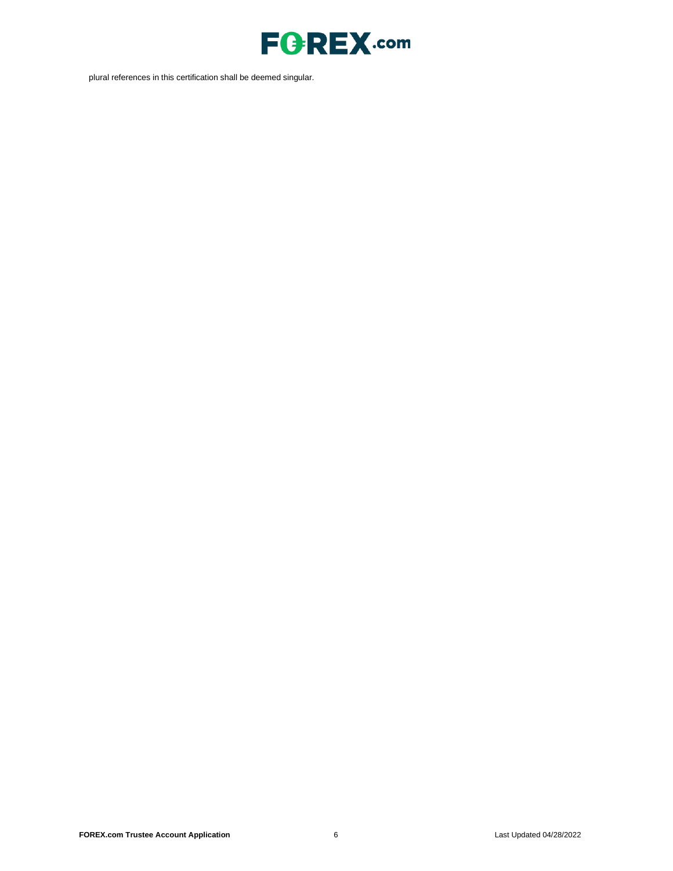

plural references in this certification shall be deemed singular.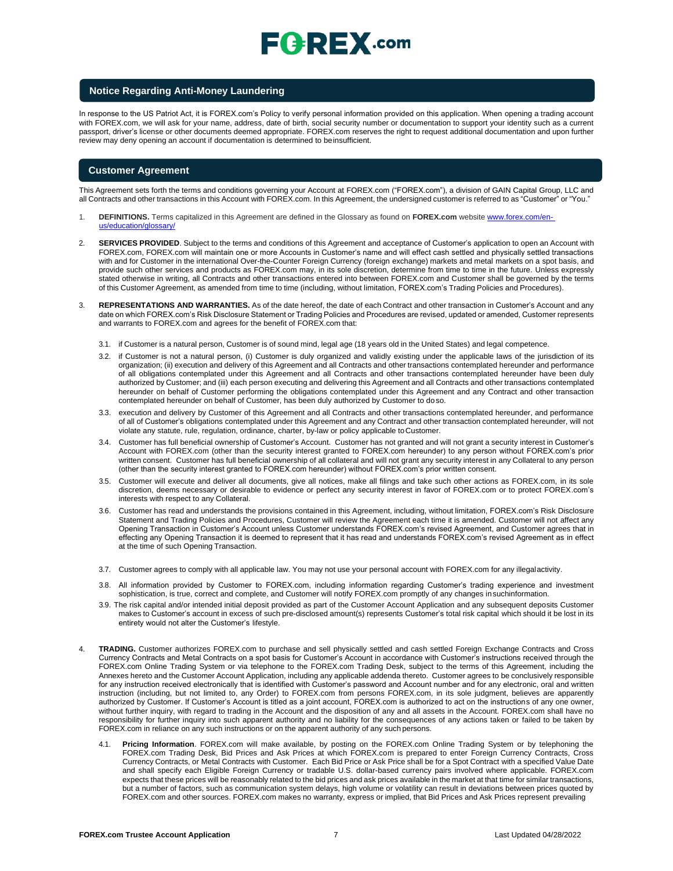# $\sqsubseteq$   $\ominus$   $\sqsubseteq$   $\chi$  .com

### **Notice Regarding Anti-Money Laundering**

In response to the US Patriot Act, it is FOREX.com's Policy to verify personal information provided on this application. When opening a trading account with FOREX.com, we will ask for your name, address, date of birth, social security number or documentation to support your identity such as a current passport, driver's license or other documents deemed appropriate. FOREX.com reserves the right to request additional documentation and upon further review may deny opening an account if documentation is determined to beinsufficient.

### **Customer Agreement**

This Agreement sets forth the terms and conditions governing your Account at FOREX.com ("FOREX.com"), a division of GAIN Capital Group, LLC and all Contracts and other transactions in this Account with FOREX.com. In this Agreement, the undersigned customer is referred to as "Customer" or "You."

- 1. **DEFINITIONS.** Terms capitalized in this Agreement are defined in the Glossary as found on **FOREX.com** website [www.forex.com/en](http://www.forex.com/en-us/education/glossary/)[us/education/glossary/](http://www.forex.com/en-us/education/glossary/)
- 2. **SERVICES PROVIDED**. Subject to the terms and conditions of this Agreement and acceptance of Customer's application to open an Account with FOREX.com, FOREX.com will maintain one or more Accounts in Customer's name and will effect cash settled and physically settled transactions with and for Customer in the international Over-the-Counter Foreign Currency (foreign exchange) markets and metal markets on a spot basis, and provide such other services and products as FOREX.com may, in its sole discretion, determine from time to time in the future. Unless expressly stated otherwise in writing, all Contracts and other transactions entered into between FOREX.com and Customer shall be governed by the terms of this Customer Agreement, as amended from time to time (including, without limitation, FOREX.com's Trading Policies and Procedures).
- 3. **REPRESENTATIONS AND WARRANTIES.** As of the date hereof, the date of each Contract and other transaction in Customer's Account and any date on which FOREX.com's Risk Disclosure Statement or Trading Policies and Procedures are revised, updated or amended, Customer represents and warrants to FOREX.com and agrees for the benefit of FOREX.com that:
	- 3.1. if Customer is a natural person, Customer is of sound mind, legal age (18 years old in the United States) and legal competence.
	- 3.2. if Customer is not a natural person, (i) Customer is duly organized and validly existing under the applicable laws of the jurisdiction of its organization; (ii) execution and delivery of this Agreement and all Contracts and other transactions contemplated hereunder and performance of all obligations contemplated under this Agreement and all Contracts and other transactions contemplated hereunder have been duly authorized by Customer; and (iii) each person executing and delivering this Agreement and all Contracts and other transactions contemplated hereunder on behalf of Customer performing the obligations contemplated under this Agreement and any Contract and other transaction contemplated hereunder on behalf of Customer, has been duly authorized by Customer to doso.
	- 3.3. execution and delivery by Customer of this Agreement and all Contracts and other transactions contemplated hereunder, and performance of all of Customer's obligations contemplated under this Agreement and any Contract and other transaction contemplated hereunder, will not violate any statute, rule, regulation, ordinance, charter, by-law or policy applicable toCustomer.
	- 3.4. Customer has full beneficial ownership of Customer's Account. Customer has not granted and will not grant a security interest in Customer's Account with FOREX.com (other than the security interest granted to FOREX.com hereunder) to any person without FOREX.com's prior written consent. Customer has full beneficial ownership of all collateral and will not grant any security interest in any Collateral to any person (other than the security interest granted to FOREX.com hereunder) without FOREX.com's prior written consent.
	- 3.5. Customer will execute and deliver all documents, give all notices, make all filings and take such other actions as FOREX.com, in its sole discretion, deems necessary or desirable to evidence or perfect any security interest in favor of FOREX.com or to protect FOREX.com's interests with respect to any Collateral.
	- 3.6. Customer has read and understands the provisions contained in this Agreement, including, without limitation, FOREX.com's Risk Disclosure Statement and Trading Policies and Procedures, Customer will review the Agreement each time it is amended. Customer will not affect any Opening Transaction in Customer's Account unless Customer understands FOREX.com's revised Agreement, and Customer agrees that in effecting any Opening Transaction it is deemed to represent that it has read and understands FOREX.com's revised Agreement as in effect at the time of such Opening Transaction.
	- 3.7. Customer agrees to comply with all applicable law. You may not use your personal account with FOREX.com for any illegalactivity.
	- 3.8. All information provided by Customer to FOREX.com, including information regarding Customer's trading experience and investment sophistication, is true, correct and complete, and Customer will notify FOREX.com promptly of any changes insuchinformation.
	- 3.9. The risk capital and/or intended initial deposit provided as part of the Customer Account Application and any subsequent deposits Customer makes to Customer's account in excess of such pre-disclosed amount(s) represents Customer's total risk capital which should it be lost in its entirety would not alter the Customer's lifestyle.
- 4. **TRADING.** Customer authorizes FOREX.com to purchase and sell physically settled and cash settled Foreign Exchange Contracts and Cross Currency Contracts and Metal Contracts on a spot basis for Customer's Account in accordance with Customer's instructions received through the FOREX.com Online Trading System or via telephone to the FOREX.com Trading Desk, subject to the terms of this Agreement, including the Annexes hereto and the Customer Account Application, including any applicable addenda thereto. Customer agrees to be conclusively responsible for any instruction received electronically that is identified with Customer's password and Account number and for any electronic, oral and written instruction (including, but not limited to, any Order) to FOREX.com from persons FOREX.com, in its sole judgment, believes are apparently authorized by Customer. If Customer's Account is titled as a joint account, FOREX.com is authorized to act on the instructions of any one owner, without further inquiry, with regard to trading in the Account and the disposition of any and all assets in the Account. FOREX.com shall have no responsibility for further inquiry into such apparent authority and no liability for the consequences of any actions taken or failed to be taken by FOREX.com in reliance on any such instructions or on the apparent authority of any such persons.
	- 4.1. **Pricing Information**. FOREX.com will make available, by posting on the FOREX.com Online Trading System or by telephoning the FOREX.com Trading Desk, Bid Prices and Ask Prices at which FOREX.com is prepared to enter Foreign Currency Contracts, Cross Currency Contracts, or Metal Contracts with Customer. Each Bid Price or Ask Price shall be for a Spot Contract with a specified Value Date and shall specify each Eligible Foreign Currency or tradable U.S. dollar-based currency pairs involved where applicable. FOREX.com expects that these prices will be reasonably related to the bid prices and ask prices available in the market at that time for similar transactions, but a number of factors, such as communication system delays, high volume or volatility can result in deviations between prices quoted by FOREX.com and other sources. FOREX.com makes no warranty, express or implied, that Bid Prices and Ask Prices represent prevailing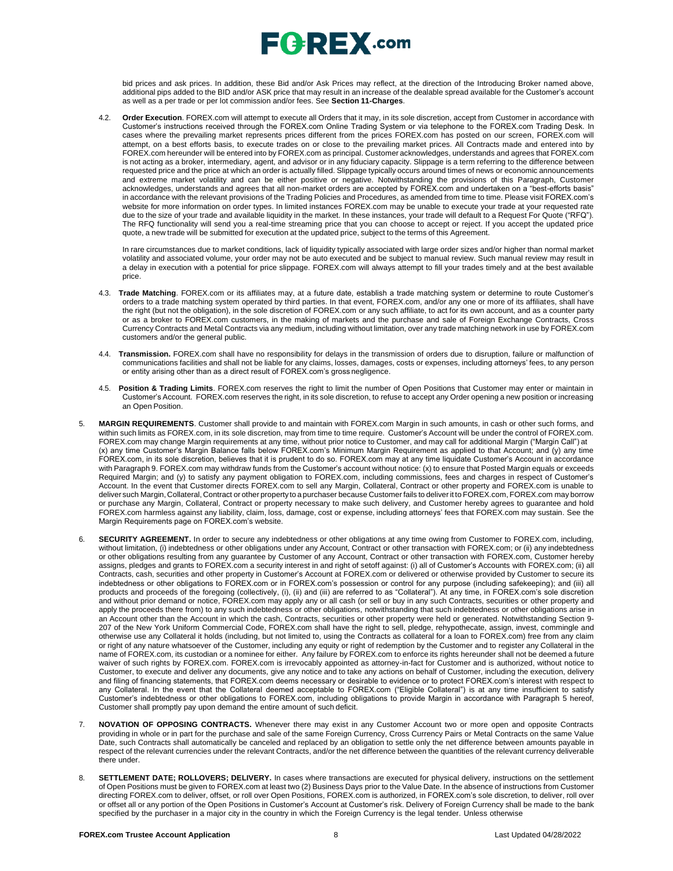

bid prices and ask prices. In addition, these Bid and/or Ask Prices may reflect, at the direction of the Introducing Broker named above, additional pips added to the BID and/or ASK price that may result in an increase of the dealable spread available for the Customer's account as well as a per trade or per lot commission and/or fees. See **Section 11-Charges**.

4.2. **Order Execution**. FOREX.com will attempt to execute all Orders that it may, in its sole discretion, accept from Customer in accordance with Customer's instructions received through the FOREX.com Online Trading System or via telephone to the FOREX.com Trading Desk. In cases where the prevailing market represents prices different from the prices FOREX.com has posted on our screen, FOREX.com will attempt, on a best efforts basis, to execute trades on or close to the prevailing market prices. All Contracts made and entered into by FOREX.com hereunder will be entered into by FOREX.com as principal. Customer acknowledges, understands and agrees that FOREX.com is not acting as a broker, intermediary, agent, and advisor or in any fiduciary capacity. Slippage is a term referring to the difference between requested price and the price at which an order is actually filled. Slippage typically occurs around times of news or economic announcements and extreme market volatility and can be either positive or negative. Notwithstanding the provisions of this Paragraph, Customer acknowledges, understands and agrees that all non-market orders are accepted by FOREX.com and undertaken on a "best-efforts basis" in accordance with the relevant provisions of the Trading Policies and Procedures, as amended from time to time. Please visit FOREX.com's website for more information on order types. In limited instances FOREX.com may be unable to execute your trade at your requested rate due to the size of your trade and available liquidity in the market. In these instances, your trade will default to a Request For Quote ("RFQ"). The RFQ functionality will send you a real-time streaming price that you can choose to accept or reject. If you accept the updated price quote, a new trade will be submitted for execution at the updated price, subject to the terms of this Agreement.

In rare circumstances due to market conditions, lack of liquidity typically associated with large order sizes and/or higher than normal market volatility and associated volume, your order may not be auto executed and be subject to manual review. Such manual review may result in a delay in execution with a potential for price slippage[. FOREX.com w](http://forex.com/)ill always attempt to fill your trades timely and at the best available price.

- 4.3. **Trade Matching**. FOREX.com or its affiliates may, at a future date, establish a trade matching system or determine to route Customer's orders to a trade matching system operated by third parties. In that event, FOREX.com, and/or any one or more of its affiliates, shall have the right (but not the obligation), in the sole discretion of FOREX.com or any such affiliate, to act for its own account, and as a counter party or as a broker to FOREX.com customers, in the making of markets and the purchase and sale of Foreign Exchange Contracts, Cross Currency Contracts and Metal Contracts via any medium, including without limitation, over any trade matching network in use by FOREX.com customers and/or the general public.
- 4.4. **Transmission.** FOREX.com shall have no responsibility for delays in the transmission of orders due to disruption, failure or malfunction of communications facilities and shall not be liable for any claims, losses, damages, costs or expenses, including attorneys' fees, to any person or entity arising other than as a direct result of FOREX.com's gross negligence.
- 4.5. **Position & Trading Limits**. FOREX.com reserves the right to limit the number of Open Positions that Customer may enter or maintain in Customer's Account. FOREX.com reserves the right, in its sole discretion, to refuse to accept any Order opening a new position or increasing an Open Position.
- 5. **MARGIN REQUIREMENTS**. Customer shall provide to and maintain with FOREX.com Margin in such amounts, in cash or other such forms, and within such limits as FOREX.com, in its sole discretion, may from time to time require. Customer's Account will be under the control of FOREX.com. FOREX.com may change Margin requirements at any time, without prior notice to Customer, and may call for additional Margin ("Margin Call") at (x) any time Customer's Margin Balance falls below FOREX.com's Minimum Margin Requirement as applied to that Account; and (y) any time FOREX.com, in its sole discretion, believes that it is prudent to do so. FOREX.com may at any time liquidate Customer's Account in accordance with Paragraph 9. FOREX.com may withdraw funds from the Customer's account without notice: (x) to ensure that Posted Margin equals or exceeds Required Margin; and (y) to satisfy any payment obligation to FOREX.com, including commissions, fees and charges in respect of Customer's Account. In the event that Customer directs FOREX.com to sell any Margin, Collateral, Contract or other property and FOREX.com is unable to deliver such Margin, Collateral, Contract or other propertyto a purchaser because Customer fails to deliverit to FOREX.com, FOREX.com may borrow or purchase any Margin, Collateral, Contract or property necessary to make such delivery, and Customer hereby agrees to guarantee and hold FOREX.com harmless against any liability, claim, loss, damage, cost or expense, including attorneys' fees that FOREX.com may sustain. See the Margin Requirements page on FOREX.com's website.
- 6. **SECURITY AGREEMENT.** In order to secure any indebtedness or other obligations at any time owing from Customer to FOREX.com, including, without limitation, (i) indebtedness or other obligations under any Account, Contract or other transaction with FOREX.com; or (ii) any indebtedness or other obligations resulting from any guarantee by Customer of any Account, Contract or other transaction with FOREX.com, Customer hereby assigns, pledges and grants to FOREX.com a security interest in and right of setoff against: (i) all of Customer's Accounts with FOREX.com; (ii) all Contracts, cash, securities and other property in Customer's Account at FOREX.com or delivered or otherwise provided by Customer to secure its indebtedness or other obligations to FOREX.com or in FOREX.com's possession or control for any purpose (including safekeeping); and (iii) all products and proceeds of the foregoing (collectively, (i), (ii) and (iii) are referred to as "Collateral"). At any time, in FOREX.com's sole discretion and without prior demand or notice, FOREX.com may apply any or all cash (or sell or buy in any such Contracts, securities or other property and apply the proceeds there from) to any such indebtedness or other obligations, notwithstanding that such indebtedness or other obligations arise in an Account other than the Account in which the cash, Contracts, securities or other property were held or generated. Notwithstanding Section 9- 207 of the New York Uniform Commercial Code, FOREX.com shall have the right to sell, pledge, rehypothecate, assign, invest, commingle and otherwise use any Collateral it holds (including, but not limited to, using the Contracts as collateral for a loan to FOREX.com) free from any claim or right of any nature whatsoever of the Customer, including any equity or right of redemption by the Customer and to register any Collateral in the name of FOREX.com, its custodian or a nominee for either. Any failure by FOREX.com to enforce its rights hereunder shall not be deemed a future waiver of such rights by FOREX.com. FOREX.com is irrevocably appointed as attorney-in-fact for Customer and is authorized, without notice to Customer, to execute and deliver any documents, give any notice and to take any actions on behalf of Customer, including the execution, delivery and filing of financing statements, that FOREX.com deems necessary or desirable to evidence or to protect FOREX.com's interest with respect to any Collateral. In the event that the Collateral deemed acceptable to FOREX.com ("Eligible Collateral") is at any time insufficient to satisfy Customer's indebtedness or other obligations to FOREX.com, including obligations to provide Margin in accordance with Paragraph 5 hereof, Customer shall promptly pay upon demand the entire amount of such deficit.
- 7. **NOVATION OF OPPOSING CONTRACTS.** Whenever there may exist in any Customer Account two or more open and opposite Contracts providing in whole or in part for the purchase and sale of the same Foreign Currency, Cross Currency Pairs or Metal Contracts on the same Value Date, such Contracts shall automatically be canceled and replaced by an obligation to settle only the net difference between amounts payable in respect of the relevant currencies under the relevant Contracts, and/or the net difference between the quantities of the relevant currency deliverable there under.
- 8. **SETTLEMENT DATE; ROLLOVERS; DELIVERY.** In cases where transactions are executed for physical delivery, instructions on the settlement of Open Positions must be given to FOREX.com at least two (2) Business Days prior to the Value Date. In the absence of instructions from Customer directing FOREX.com to deliver, offset, or roll over Open Positions, FOREX.com is authorized, in FOREX.com's sole discretion, to deliver, roll over or offset all or any portion of the Open Positions in Customer's Account at Customer's risk. Delivery of Foreign Currency shall be made to the bank specified by the purchaser in a major city in the country in which the Foreign Currency is the legal tender. Unless otherwise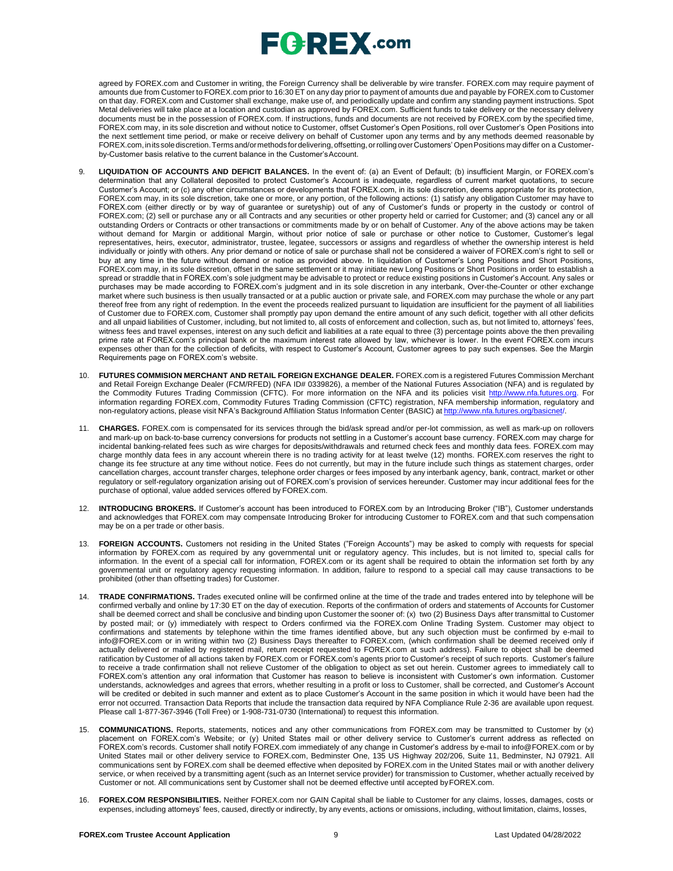# $E$ **C**  $R$ **EX** .com

agreed by FOREX.com and Customer in writing, the Foreign Currency shall be deliverable by wire transfer. FOREX.com may require payment of amounts due from Customer to FOREX.com prior to 16:30 ET on any day prior to payment of amounts due and payable by FOREX.com to Customer on that day. FOREX.com and Customer shall exchange, make use of, and periodically update and confirm any standing payment instructions. Spot Metal deliveries will take place at a location and custodian as approved by FOREX.com. Sufficient funds to take delivery or the necessary delivery documents must be in the possession of FOREX.com. If instructions, funds and documents are not received by FOREX.com by the specified time, FOREX.com may, in its sole discretion and without notice to Customer, offset Customer's Open Positions, roll over Customer's Open Positions into the next settlement time period, or make or receive delivery on behalf of Customer upon any terms and by any methods deemed reasonable by FOREX.com,initssolediscretion.Termsand/ormethods fordelivering, offsetting, orrollingoverCustomers' OpenPositions may differ on a Customerby-Customer basis relative to the current balance in the Customer'sAccount.

- 9. **LIQUIDATION OF ACCOUNTS AND DEFICIT BALANCES.** In the event of: (a) an Event of Default; (b) insufficient Margin, or FOREX.com's determination that any Collateral deposited to protect Customer's Account is inadequate, regardless of current market quotations, to secure Customer's Account; or (c) any other circumstances or developments that FOREX.com, in its sole discretion, deems appropriate for its protection, FOREX.com may, in its sole discretion, take one or more, or any portion, of the following actions: (1) satisfy any obligation Customer may have to FOREX.com (either directly or by way of guarantee or suretyship) out of any of Customer's funds or property in the custody or control of FOREX.com; (2) sell or purchase any or all Contracts and any securities or other property held or carried for Customer; and (3) cancel any or all outstanding Orders or Contracts or other transactions or commitments made by or on behalf of Customer. Any of the above actions may be taken without demand for Margin or additional Margin, without prior notice of sale or purchase or other notice to Customer, Customer's legal representatives, heirs, executor, administrator, trustee, legatee, successors or assigns and regardless of whether the ownership interest is held individually or jointly with others. Any prior demand or notice of sale or purchase shall not be considered a waiver of FOREX.com's right to sell or buy at any time in the future without demand or notice as provided above. In liquidation of Customer's Long Positions and Short Positions, FOREX.com may, in its sole discretion, offset in the same settlement or it may initiate new Long Positions or Short Positions in order to establish a spread or straddle that in FOREX.com's sole judgment may be advisable to protect or reduce existing positions in Customer's Account. Any sales or purchases may be made according to FOREX.com's judgment and in its sole discretion in any interbank, Over-the-Counter or other exchange market where such business is then usually transacted or at a public auction or private sale, and FOREX.com may purchase the whole or any part thereof free from any right of redemption. In the event the proceeds realized pursuant to liquidation are insufficient for the payment of all liabilities of Customer due to FOREX.com, Customer shall promptly pay upon demand the entire amount of any such deficit, together with all other deficits and all unpaid liabilities of Customer, including, but not limited to, all costs of enforcement and collection, such as, but not limited to, attorneys' fees, witness fees and travel expenses, interest on any such deficit and liabilities at a rate equal to three (3) percentage points above the then prevailing prime rate at FOREX.com's principal bank or the maximum interest rate allowed by law, whichever is lower. In the event FOREX.com incurs expenses other than for the collection of deficits, with respect to Customer's Account, Customer agrees to pay such expenses. See the Margin Requirements page on FOREX.com's website.
- 10. **FUTURES COMMISION MERCHANT AND RETAIL FOREIGN EXCHANGE DEALER.** FOREX.com is a registered Futures Commission Merchant and Retail Foreign Exchange Dealer (FCM/RFED) (NFA ID# 0339826), a member of the National Futures Association (NFA) and is regulated by the Commodity Futures Trading Commission (CFTC). For more information on the NFA and its policies visit [http://www.nfa.futures.org.](http://www.nfa.futures.org/) For information regarding FOREX.com, Commodity Futures Trading Commission (CFTC) registration, NFA membership information, regulatory and non-regulatory actions, please visit NFA's Background Affiliation Status Information Center (BASIC) at http://www.nfa.futures.org/b
- 11. **CHARGES.** FOREX.com is compensated for its services through the bid/ask spread and/or per-lot commission, as well as mark-up on rollovers and mark-up on back-to-base currency conversions for products not settling in a Customer's account base currency. FOREX.com may charge for incidental banking-related fees such as wire charges for deposits/withdrawals and returned check fees and monthly data fees. FOREX.com may charge monthly data fees in any account wherein there is no trading activity for at least twelve (12) months. FOREX.com reserves the right to change its fee structure at any time without notice. Fees do not currently, but may in the future include such things as statement charges, order cancellation charges, account transfer charges, telephone order charges or fees imposed by any interbank agency, bank, contract, market or other regulatory or self-regulatory organization arising out of FOREX.com's provision of services hereunder. Customer may incur additional fees for the purchase of optional, value added services offered by FOREX.com.
- 12. **INTRODUCING BROKERS.** If Customer's account has been introduced to FOREX.com by an Introducing Broker ("IB"), Customer understands and acknowledges that FOREX.com may compensate Introducing Broker for introducing Customer to FOREX.com and that such compensation may be on a per trade or other basis.
- 13. **FOREIGN ACCOUNTS.** Customers not residing in the United States ("Foreign Accounts") may be asked to comply with requests for special information by FOREX.com as required by any governmental unit or regulatory agency. This includes, but is not limited to, special calls for information. In the event of a special call for information, FOREX.com or its agent shall be required to obtain the information set forth by any governmental unit or regulatory agency requesting information. In addition, failure to respond to a special call may cause transactions to be prohibited (other than offsetting trades) for Customer.
- 14. **TRADE CONFIRMATIONS.** Trades executed online will be confirmed online at the time of the trade and trades entered into by telephone will be confirmed verbally and online by 17:30 ET on the day of execution. Reports of the confirmation of orders and statements of Accounts for Customer shall be deemed correct and shall be conclusive and binding upon Customer the sooner of: (x) two (2) Business Days after transmittal to Customer by posted mail; or (y) immediately with respect to Orders confirmed via the FOREX.com Online Trading System. Customer may object to confirmations and statements by telephone within the time frames identified above, but any such objection must be confirmed by e-mail t[o](mailto:info@FOREX.com) [info@FOREX.com](mailto:info@FOREX.com) or in writing within two (2) Business Days thereafter to FOREX.com, (which confirmation shall be deemed received only if actually delivered or mailed by registered mail, return receipt requested to FOREX.com at such address). Failure to object shall be deemed ratification by Customer of all actions taken by FOREX.com or FOREX.com's agents prior to Customer's receipt of such reports. Customer's failure to receive a trade confirmation shall not relieve Customer of the obligation to object as set out herein. Customer agrees to immediately call to FOREX.com's attention any oral information that Customer has reason to believe is inconsistent with Customer's own information. Customer understands, acknowledges and agrees that errors, whether resulting in a profit or loss to Customer, shall be corrected, and Customer's Account will be credited or debited in such manner and extent as to place Customer's Account in the same position in which it would have been had the error not occurred. Transaction Data Reports that include the transaction data required by NFA Compliance Rule 2-36 are available upon request. Please call 1-877-367-3946 (Toll Free) or 1-908-731-0730 (International) to request this information.
- 15. **COMMUNICATIONS.** Reports, statements, notices and any other communications from FOREX.com may be transmitted to Customer by (x) placement on FOREX.com's Website; or (y) United States mail or other delivery service to Customer's current address as reflected on FOREX.com's records. Customer shall notify FOREX.com immediately of any change in Customer's address by e-mail to [info@FOREX.com](mailto:info@FOREX.com) or by United States mail or other delivery service to FOREX.com, Bedminster One, 135 US Highway 202/206, Suite 11, Bedminster, NJ 07921. All communications sent by FOREX.com shall be deemed effective when deposited by FOREX.com in the United States mail or with another delivery service, or when received by a transmitting agent (such as an Internet service provider) for transmission to Customer, whether actually received by Customer or not. All communications sent by Customer shall not be deemed effective until accepted byFOREX.com.
- 16. **FOREX.COM RESPONSIBILITIES.** Neither FOREX.com nor GAIN Capital shall be liable to Customer for any claims, losses, damages, costs or expenses, including attorneys' fees, caused, directly or indirectly, by any events, actions or omissions, including, without limitation, claims, losses,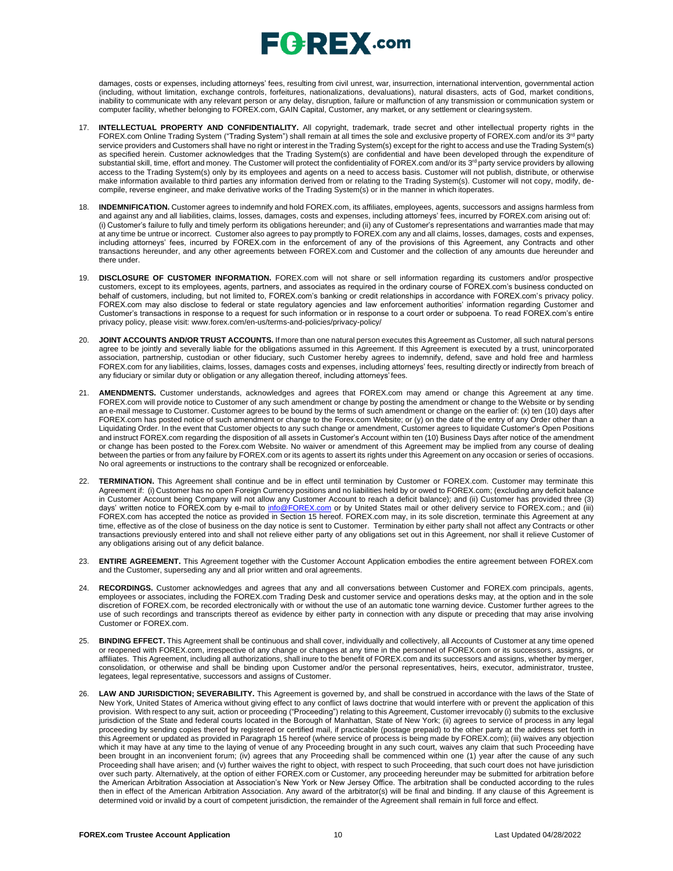# $E$ **C**  $R$ **EX** .com

damages, costs or expenses, including attorneys' fees, resulting from civil unrest, war, insurrection, international intervention, governmental action (including, without limitation, exchange controls, forfeitures, nationalizations, devaluations), natural disasters, acts of God, market conditions, inability to communicate with any relevant person or any delay, disruption, failure or malfunction of any transmission or communication system or computer facility, whether belonging to FOREX.com, GAIN Capital, Customer, any market, or any settlement or clearingsystem.

- 17. **INTELLECTUAL PROPERTY AND CONFIDENTIALITY.** All copyright, trademark, trade secret and other intellectual property rights in the FOREX.com Online Trading System ("Trading System") shall remain at all times the sole and exclusive property of FOREX.com and/or its 3<sup>rd</sup> party service providers and Customers shall have no right or interest in the Trading System(s) except for the right to access and use the Trading System(s) as specified herein. Customer acknowledges that the Trading System(s) are confidential and have been developed through the expenditure of substantial skill, time, effort and money. The Customer will protect the confidentiality of FOREX.com and/or its 3<sup>rd</sup> party service providers by allowing access to the Trading System(s) only by its employees and agents on a need to access basis. Customer will not publish, distribute, or otherwise make information available to third parties any information derived from or relating to the Trading System(s). Customer will not copy, modify, decompile, reverse engineer, and make derivative works of the Trading System(s) or in the manner in which itoperates.
- 18. **INDEMNIFICATION.** Customer agrees to indemnify and hold FOREX.com, its affiliates, employees, agents, successors and assigns harmless from and against any and all liabilities, claims, losses, damages, costs and expenses, including attorneys' fees, incurred by FOREX.com arising out of: (i) Customer's failure to fully and timely perform its obligations hereunder; and (ii) any of Customer's representations and warranties made that may at any time be untrue or incorrect. Customer also agrees to pay promptly to FOREX.com any and all claims, losses, damages, costs and expenses, including attorneys' fees, incurred by FOREX.com in the enforcement of any of the provisions of this Agreement, any Contracts and other transactions hereunder, and any other agreements between FOREX.com and Customer and the collection of any amounts due hereunder and there under.
- 19. **DISCLOSURE OF CUSTOMER INFORMATION.** FOREX.com will not share or sell information regarding its customers and/or prospective customers, except to its employees, agents, partners, and associates as required in the ordinary course of FOREX.com's business conducted on behalf of customers, including, but not limited to, FOREX.com's banking or credit relationships in accordance with FOREX.com's privacy policy. FOREX.com may also disclose to federal or state regulatory agencies and law enforcement authorities' information regarding Customer and Customer's transactions in response to a request for such information or in response to a court order or subpoena. To read FOREX.com's entire privacy policy, please visit: [www.forex.com/en-us/terms-and-policies/privacy-policy/](http://www.forex.com/en-us/terms-and-policies/privacy-policy/)
- 20. **JOINT ACCOUNTS AND/OR TRUST ACCOUNTS.** If more than one natural person executes this Agreement as Customer, all such natural persons agree to be jointly and severally liable for the obligations assumed in this Agreement. If this Agreement is executed by a trust, unincorporated association, partnership, custodian or other fiduciary, such Customer hereby agrees to indemnify, defend, save and hold free and harmless FOREX.com for any liabilities, claims, losses, damages costs and expenses, including attorneys' fees, resulting directly or indirectly from breach of any fiduciary or similar duty or obligation or any allegation thereof, including attorneys' fees.
- 21. **AMENDMENTS.** Customer understands, acknowledges and agrees that FOREX.com may amend or change this Agreement at any time. FOREX.com will provide notice to Customer of any such amendment or change by posting the amendment or change to the Website or by sending an e-mail message to Customer. Customer agrees to be bound by the terms of such amendment or change on the earlier of: (x) ten (10) days after FOREX.com has posted notice of such amendment or change to the Forex.com Website; or (y) on the date of the entry of any Order other than a Liquidating Order. In the event that Customer objects to any such change or amendment, Customer agrees to liquidate Customer's Open Positions and instruct FOREX.com regarding the disposition of all assets in Customer's Account within ten (10) Business Days after notice of the amendment or change has been posted to the Forex.com Website. No waiver or amendment of this Agreement may be implied from any course of dealing between the parties or from any failure by FOREX.com or its agents to assert its rights under this Agreement on any occasion or series of occasions. No oral agreements or instructions to the contrary shall be recognized or enforceable.
- 22. **TERMINATION.** This Agreement shall continue and be in effect until termination by Customer or FOREX.com. Customer may terminate this Agreement if: (i) Customer has no open Foreign Currency positions and no liabilities held by or owed to FOREX.com; (excluding any deficit balance in Customer Account being Company will not allow any Customer Account to reach a deficit balance); and (ii) Customer has provided three (3) days' written notice to FOREX.com by e-mail to [info@FOREX.com](mailto:info@fxadvantage.com) or by United States mail or other delivery service to FOREX.com.; and (iii) FOREX.com has accepted the notice as provided in Section 15 hereof. FOREX.com may, in its sole discretion, terminate this Agreement at any time, effective as of the close of business on the day notice is sent to Customer. Termination by either party shall not affect any Contracts or other transactions previously entered into and shall not relieve either party of any obligations set out in this Agreement, nor shall it relieve Customer of any obligations arising out of any deficit balance.
- 23. **ENTIRE AGREEMENT.** This Agreement together with the Customer Account Application embodies the entire agreement between FOREX.com and the Customer, superseding any and all prior written and oral agreements.
- 24. **RECORDINGS.** Customer acknowledges and agrees that any and all conversations between Customer and FOREX.com principals, agents, employees or associates, including the FOREX.com Trading Desk and customer service and operations desks may, at the option and in the sole discretion of FOREX.com, be recorded electronically with or without the use of an automatic tone warning device. Customer further agrees to the use of such recordings and transcripts thereof as evidence by either party in connection with any dispute or preceding that may arise involving Customer or FOREX.com.
- 25. **BINDING EFFECT.** This Agreement shall be continuous and shall cover, individually and collectively, all Accounts of Customer at any time opened or reopened with FOREX.com, irrespective of any change or changes at any time in the personnel of FOREX.com or its successors, assigns, or affiliates. This Agreement, including all authorizations, shall inure to the benefit of FOREX.com and its successors and assigns, whether by merger, consolidation, or otherwise and shall be binding upon Customer and/or the personal representatives, heirs, executor, administrator, trustee, legatees, legal representative, successors and assigns of Customer.
- LAW AND JURISDICTION; SEVERABILITY. This Agreement is governed by, and shall be construed in accordance with the laws of the State of New York, United States of America without giving effect to any conflict of laws doctrine that would interfere with or prevent the application of this provision. With respect to any suit, action or proceeding ("Proceeding") relating to this Agreement, Customer irrevocably (i) submits to the exclusive jurisdiction of the State and federal courts located in the Borough of Manhattan, State of New York; (ii) agrees to service of process in any legal proceeding by sending copies thereof by registered or certified mail, if practicable (postage prepaid) to the other party at the address set forth in this Agreement or updated as provided in Paragraph 15 hereof (where service of process is being made by FOREX.com); (iii) waives any objection which it may have at any time to the laying of venue of any Proceeding brought in any such court, waives any claim that such Proceeding have been brought in an inconvenient forum; (iv) agrees that any Proceeding shall be commenced within one (1) year after the cause of any such Proceeding shall have arisen; and (v) further waives the right to object, with respect to such Proceeding, that such court does not have jurisdiction over such party. Alternatively, at the option of either FOREX.com or Customer, any proceeding hereunder may be submitted for arbitration before the American Arbitration Association at Association's New York or New Jersey Office. The arbitration shall be conducted according to the rules then in effect of the American Arbitration Association. Any award of the arbitrator(s) will be final and binding. If any clause of this Agreement is determined void or invalid by a court of competent jurisdiction, the remainder of the Agreement shall remain in full force and effect.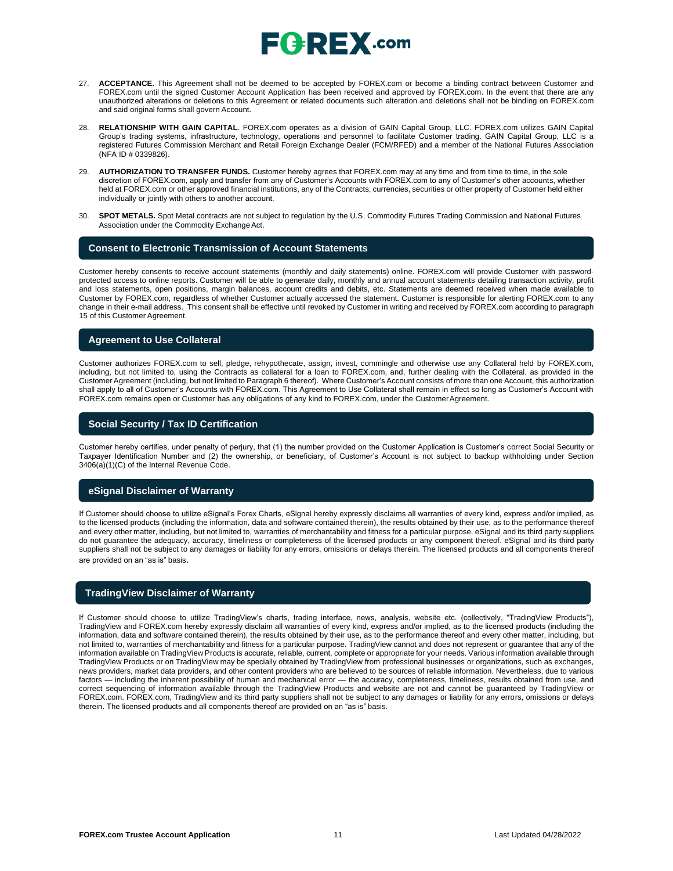

- 27. **ACCEPTANCE.** This Agreement shall not be deemed to be accepted by FOREX.com or become a binding contract between Customer and FOREX.com until the signed Customer Account Application has been received and approved by FOREX.com. In the event that there are any unauthorized alterations or deletions to this Agreement or related documents such alteration and deletions shall not be binding on FOREX.com and said original forms shall govern Account.
- 28. **RELATIONSHIP WITH GAIN CAPITAL**. FOREX.com operates as a division of GAIN Capital Group, LLC. FOREX.com utilizes GAIN Capital Group's trading systems, infrastructure, technology, operations and personnel to facilitate Customer trading. GAIN Capital Group, LLC is a registered Futures Commission Merchant and Retail Foreign Exchange Dealer (FCM/RFED) and a member of the National Futures Association (NFA ID # 0339826).
- 29. **AUTHORIZATION TO TRANSFER FUNDS.** Customer hereby agrees that FOREX.com may at any time and from time to time, in the sole discretion of FOREX.com, apply and transfer from any of Customer's Accounts with FOREX.com to any of Customer's other accounts, whether held at FOREX.com or other approved financial institutions, any of the Contracts, currencies, securities or other property of Customer held either individually or jointly with others to another account.
- 30. **SPOT METALS.** Spot Metal contracts are not subject to regulation by the U.S. Commodity Futures Trading Commission and National Futures Association under the Commodity Exchange Act.

### **Consent to Electronic Transmission of Account Statements**

Customer hereby consents to receive account statements (monthly and daily statements) online. FOREX.com will provide Customer with passwordprotected access to online reports. Customer will be able to generate daily, monthly and annual account statements detailing transaction activity, profit and loss statements, open positions, margin balances, account credits and debits, etc. Statements are deemed received when made available to Customer by FOREX.com, regardless of whether Customer actually accessed the statement. Customer is responsible for alerting FOREX.com to any change in their e-mail address. This consent shall be effective until revoked by Customer in writing and received by FOREX.com according to paragraph 15 of this Customer Agreement.

### **Agreement to Use Collateral**

Customer authorizes FOREX.com to sell, pledge, rehypothecate, assign, invest, commingle and otherwise use any Collateral held by FOREX.com, including, but not limited to, using the Contracts as collateral for a loan to FOREX.com, and, further dealing with the Collateral, as provided in the Customer Agreement (including, but not limited to Paragraph 6 thereof). Where Customer's Account consists of more than one Account, this authorization shall apply to all of Customer's Accounts with FOREX.com. This Agreement to Use Collateral shall remain in effect so long as Customer's Account with FOREX.com remains open or Customer has any obligations of any kind to FOREX.com, under the CustomerAgreement.

### **Social Security / Tax ID Certification**

Customer hereby certifies, under penalty of perjury, that (1) the number provided on the Customer Application is Customer's correct Social Security or Taxpayer Identification Number and (2) the ownership, or beneficiary, of Customer's Account is not subject to backup withholding under Section 3406(a)(1)(C) of the Internal Revenue Code.

### **eSignal Disclaimer of Warranty**

If Customer should choose to utilize eSignal's Forex Charts, eSignal hereby expressly disclaims all warranties of every kind, express and/or implied, as to the licensed products (including the information, data and software contained therein), the results obtained by their use, as to the performance thereof and every other matter, including, but not limited to, warranties of merchantability and fitness for a particular purpose. eSignal and its third party suppliers do not guarantee the adequacy, accuracy, timeliness or completeness of the licensed products or any component thereof. eSignal and its third party suppliers shall not be subject to any damages or liability for any errors, omissions or delays therein. The licensed products and all components thereof are provided on an "as is" basis.

### **TradingView Disclaimer of Warranty**

If Customer should choose to utilize TradingView's charts, trading interface, news, analysis, website etc. (collectively, "TradingView Products"), TradingView and FOREX.com hereby expressly disclaim all warranties of every kind, express and/or implied, as to the licensed products (including the information, data and software contained therein), the results obtained by their use, as to the performance thereof and every other matter, including, but not limited to, warranties of merchantability and fitness for a particular purpose. TradingView cannot and does not represent or guarantee that any of the information available on TradingView Products is accurate, reliable, current, complete or appropriate for your needs. Various information available through TradingView Products or on TradingView may be specially obtained by TradingView from professional businesses or organizations, such as exchanges, news providers, market data providers, and other content providers who are believed to be sources of reliable information. Nevertheless, due to various factors — including the inherent possibility of human and mechanical error — the accuracy, completeness, timeliness, results obtained from use, and correct sequencing of information available through the TradingView Products and website are not and cannot be guaranteed by TradingView or FOREX.com. FOREX.com, TradingView and its third party suppliers shall not be subject to any damages or liability for any errors, omissions or delays therein. The licensed products and all components thereof are provided on an "as is" basis.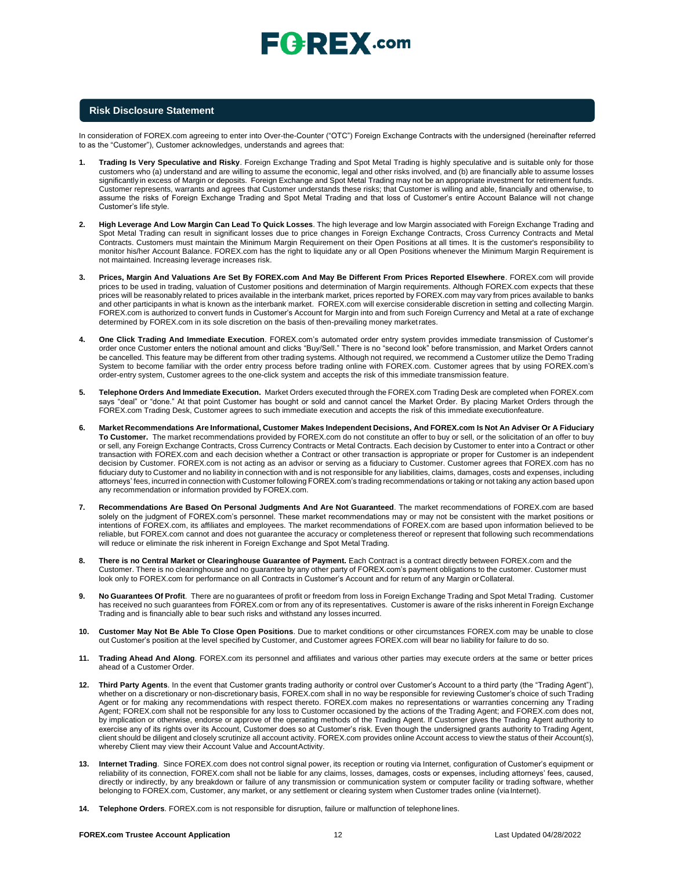### **Risk Disclosure Statement**

In consideration of FOREX.com agreeing to enter into Over-the-Counter ("OTC") Foreign Exchange Contracts with the undersigned (hereinafter referred to as the "Customer"), Customer acknowledges, understands and agrees that:

- **1. Trading Is Very Speculative and Risky**. Foreign Exchange Trading and Spot Metal Trading is highly speculative and is suitable only for those customers who (a) understand and are willing to assume the economic, legal and other risks involved, and (b) are financially able to assume losses significantly in excess of Margin or deposits. Foreign Exchange and Spot Metal Trading may not be an appropriate investment for retirement funds. Customer represents, warrants and agrees that Customer understands these risks; that Customer is willing and able, financially and otherwise, to assume the risks of Foreign Exchange Trading and Spot Metal Trading and that loss of Customer's entire Account Balance will not change Customer's life style.
- **2. High Leverage And Low Margin Can Lead To Quick Losses**. The high leverage and low Margin associated with Foreign Exchange Trading and Spot Metal Trading can result in significant losses due to price changes in Foreign Exchange Contracts, Cross Currency Contracts and Metal Contracts. Customers must maintain the Minimum Margin Requirement on their Open Positions at all times. It is the customer's responsibility to monitor his/her Account Balance. FOREX.com has the right to liquidate any or all Open Positions whenever the Minimum Margin Requirement is not maintained. Increasing leverage increases risk.
- **3. Prices, Margin And Valuations Are Set By FOREX.com And May Be Different From Prices Reported Elsewhere**. FOREX.com will provide prices to be used in trading, valuation of Customer positions and determination of Margin requirements. Although FOREX.com expects that these prices will be reasonably related to prices available in the interbank market, prices reported by FOREX.com may vary from prices available to banks and other participants in what is known as the interbank market. FOREX.com will exercise considerable discretion in setting and collecting Margin. FOREX.com is authorized to convert funds in Customer's Account for Margin into and from such Foreign Currency and Metal at a rate of exchange determined by FOREX.com in its sole discretion on the basis of then-prevailing money marketrates.
- **4. One Click Trading And Immediate Execution**. FOREX.com's automated order entry system provides immediate transmission of Customer's order once Customer enters the notional amount and clicks "Buy/Sell." There is no "second look" before transmission, and Market Orders cannot be cancelled. This feature may be different from other trading systems. Although not required, we recommend a Customer utilize the Demo Trading System to become familiar with the order entry process before trading online with FOREX.com. Customer agrees that by using FOREX.com's order-entry system, Customer agrees to the one-click system and accepts the risk of this immediate transmission feature.
- **5. Telephone Orders And Immediate Execution.** Market Orders executed through the FOREX.com Trading Desk are completed when FOREX.com says "deal" or "done." At that point Customer has bought or sold and cannot cancel the Market Order. By placing Market Orders through the FOREX.com Trading Desk, Customer agrees to such immediate execution and accepts the risk of this immediate executionfeature.
- 6. Market Recommendations Are Informational, Customer Makes Independent Decisions, And FOREX.com Is Not An Adviser Or A Fiduciary **To Customer.** The market recommendations provided by FOREX.com do not constitute an offer to buy or sell, or the solicitation of an offer to buy or sell, any Foreign Exchange Contracts, Cross Currency Contracts or Metal Contracts. Each decision by Customer to enter into a Contract or other transaction with FOREX.com and each decision whether a Contract or other transaction is appropriate or proper for Customer is an independent decision by Customer. FOREX.com is not acting as an advisor or serving as a fiduciary to Customer. Customer agrees that FOREX.com has no fiduciary duty to Customer and no liability in connection with and is not responsible for any liabilities, claims, damages, costs and expenses, including attorneys' fees, incurred in connection with Customer following FOREX.com's trading recommendations or taking or not taking any action based upon any recommendation or information provided by FOREX.com.
- **7. Recommendations Are Based On Personal Judgments And Are Not Guaranteed**. The market recommendations of FOREX.com are based solely on the judgment of FOREX.com's personnel. These market recommendations may or may not be consistent with the market positions or intentions of FOREX.com, its affiliates and employees. The market recommendations of FOREX.com are based upon information believed to be reliable, but FOREX.com cannot and does not guarantee the accuracy or completeness thereof or represent that following such recommendations will reduce or eliminate the risk inherent in Foreign Exchange and Spot Metal Trading.
- **8. There is no Central Market or Clearinghouse Guarantee of Payment.** Each Contract is a contract directly between FOREX.com and the Customer. There is no clearinghouse and no guarantee by any other party of FOREX.com's payment obligations to the customer. Customer must look only to FOREX.com for performance on all Contracts in Customer's Account and for return of any Margin orCollateral.
- **9. No Guarantees Of Profit**. There are no guarantees of profit or freedom from loss in Foreign Exchange Trading and Spot Metal Trading. Customer has received no such guarantees from FOREX.com or from any of its representatives. Customer is aware of the risks inherent in Foreign Exchange Trading and is financially able to bear such risks and withstand any losses incurred.
- **10. Customer May Not Be Able To Close Open Positions**. Due to market conditions or other circumstances FOREX.com may be unable to close out Customer's position at the level specified by Customer, and Customer agrees FOREX.com will bear no liability for failure to do so.
- **11. Trading Ahead And Along**. FOREX.com its personnel and affiliates and various other parties may execute orders at the same or better prices ahead of a Customer Order.
- **12. Third Party Agents**. In the event that Customer grants trading authority or control over Customer's Account to a third party (the "Trading Agent"), whether on a discretionary or non-discretionary basis, FOREX.com shall in no way be responsible for reviewing Customer's choice of such Trading Agent or for making any recommendations with respect thereto. FOREX.com makes no representations or warranties concerning any Trading Agent; FOREX.com shall not be responsible for any loss to Customer occasioned by the actions of the Trading Agent; and FOREX.com does not, by implication or otherwise, endorse or approve of the operating methods of the Trading Agent. If Customer gives the Trading Agent authority to exercise any of its rights over its Account, Customer does so at Customer's risk. Even though the undersigned grants authority to Trading Agent, client should be diligent and closely scrutinize all account activity. FOREX.com provides online Account access to view the status of their Account(s), whereby Client may view their Account Value and AccountActivity.
- **13. Internet Trading**. Since FOREX.com does not control signal power, its reception or routing via Internet, configuration of Customer's equipment or reliability of its connection, FOREX.com shall not be liable for any claims, losses, damages, costs or expenses, including attorneys' fees, caused, directly or indirectly, by any breakdown or failure of any transmission or communication system or computer facility or trading software, whether belonging to FOREX.com, Customer, any market, or any settlement or clearing system when Customer trades online (viaInternet).
- **14. Telephone Orders**. FOREX.com is not responsible for disruption, failure or malfunction of telephonelines.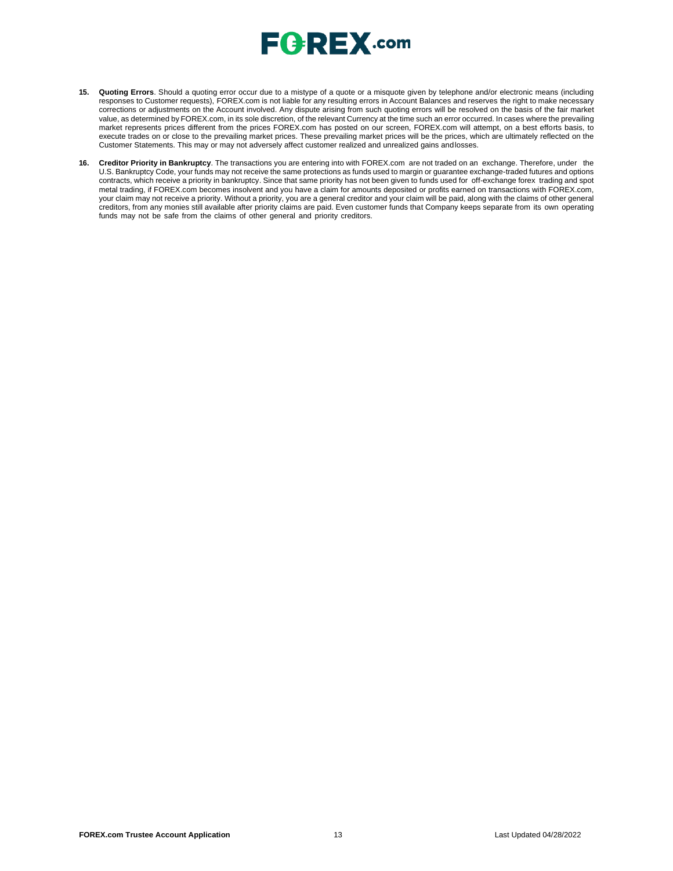

- **15. Quoting Errors**. Should a quoting error occur due to a mistype of a quote or a misquote given by telephone and/or electronic means (including responses to Customer requests), FOREX.com is not liable for any resulting errors in Account Balances and reserves the right to make necessary corrections or adjustments on the Account involved. Any dispute arising from such quoting errors will be resolved on the basis of the fair market value, as determined by FOREX.com, in its sole discretion, of the relevant Currency at the time such an error occurred. In cases where the prevailing market represents prices different from the prices FOREX.com has posted on our screen, FOREX.com will attempt, on a best efforts basis, to execute trades on or close to the prevailing market prices. These prevailing market prices will be the prices, which are ultimately reflected on the Customer Statements. This may or may not adversely affect customer realized and unrealized gains andlosses.
- **16. Creditor Priority in Bankruptcy**. The transactions you are entering into with FOREX.com are not traded on an exchange. Therefore, under the U.S. Bankruptcy Code, your funds may not receive the same protections as funds used to margin or guarantee exchange-traded futures and options contracts, which receive a priority in bankruptcy. Since that same priority has not been given to funds used for off-exchange forex trading and spot metal trading, if FOREX.com becomes insolvent and you have a claim for amounts deposited or profits earned on transactions with FOREX.com, your claim may not receive a priority. Without a priority, you are a general creditor and your claim will be paid, along with the claims of other general creditors, from any monies still available after priority claims are paid. Even customer funds that Company keeps separate from its own operating funds may not be safe from the claims of other general and priority creditors.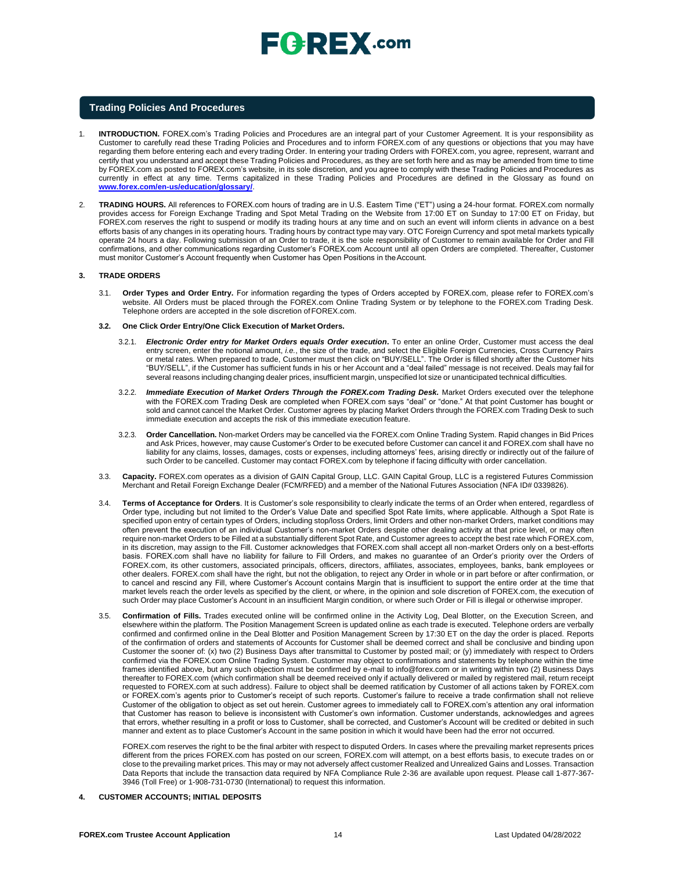

### **Trading Policies And Procedures**

- 1. **INTRODUCTION.** FOREX.com's Trading Policies and Procedures are an integral part of your Customer Agreement. It is your responsibility as Customer to carefully read these Trading Policies and Procedures and to inform FOREX.com of any questions or objections that you may have regarding them before entering each and every trading Order. In entering your trading Orders with FOREX.com, you agree, represent, warrant and certify that you understand and accept these Trading Policies and Procedures, as they are set forth here and as may be amended from time to time by FOREX.com as posted to FOREX.com's website, in its sole discretion, and you agree to comply with these Trading Policies and Procedures as currently in effect at any time. Terms capitalized in these Trading Policies and Procedures are defined in the Glossary as found o[n](http://www.forex.com/en-us/education/glossary/) **[www.forex.com/en-us/education/glossary/](http://www.forex.com/en-us/education/glossary/)**.
- 2. **TRADING HOURS.** All references to FOREX.com hours of trading are in U.S. Eastern Time ("ET") using a 24-hour format. FOREX.com normally provides access for Foreign Exchange Trading and Spot Metal Trading on the Website from 17:00 ET on Sunday to 17:00 ET on Friday, but FOREX.com reserves the right to suspend or modify its trading hours at any time and on such an event will inform clients in advance on a best efforts basis of any changes in its operating hours. Trading hours by contract type may vary. OTC Foreign Currency and spot metal markets typically operate 24 hours a day. Following submission of an Order to trade, it is the sole responsibility of Customer to remain available for Order and Fill confirmations, and other communications regarding Customer's FOREX.com Account until all open Orders are completed. Thereafter, Customer must monitor Customer's Account frequently when Customer has Open Positions in theAccount.

#### **3. TRADE ORDERS**

- 3.1. **Order Types and Order Entry.** For information regarding the types of Orders accepted by FOREX.com, please refer to FOREX.com's website. All Orders must be placed through the FOREX.com Online Trading System or by telephone to the FOREX.com Trading Desk. Telephone orders are accepted in the sole discretion ofFOREX.com.
- **3.2. One Click Order Entry/One Click Execution of Market Orders.**
	- 3.2.1. *Electronic Order entry for Market Orders equals Order execution***.** To enter an online Order, Customer must access the deal entry screen, enter the notional amount, *i.e.*, the size of the trade, and select the Eligible Foreign Currencies, Cross Currency Pairs or metal rates. When prepared to trade, Customer must then click on "BUY/SELL". The Order is filled shortly after the Customer hits "BUY/SELL", if the Customer has sufficient funds in his or her Account and a "deal failed" message is not received. Deals may fail for several reasons including changing dealer prices, insufficient margin, unspecified lot size or unanticipated technical difficulties.
	- 3.2.2. *Immediate Execution of Market Orders Through the FOREX.com Trading Desk.* Market Orders executed over the telephone with the FOREX.com Trading Desk are completed when FOREX.com says "deal" or "done." At that point Customer has bought or sold and cannot cancel the Market Order. Customer agrees by placing Market Orders through the FOREX.com Trading Desk to such immediate execution and accepts the risk of this immediate execution feature.
	- 3.2.3. **Order Cancellation.** Non-market Orders may be cancelled via the FOREX.com Online Trading System. Rapid changes in Bid Prices and Ask Prices, however, may cause Customer's Order to be executed before Customer can cancel it and FOREX.com shall have no liability for any claims, losses, damages, costs or expenses, including attorneys' fees, arising directly or indirectly out of the failure of such Order to be cancelled. Customer may contact FOREX.com by telephone if facing difficulty with order cancellation.
- 3.3. **Capacity.** FOREX.com operates as a division of GAIN Capital Group, LLC. GAIN Capital Group, LLC is a registered Futures Commission Merchant and Retail Foreign Exchange Dealer (FCM/RFED) and a member of the National Futures Association (NFA ID# 0339826).
- 3.4. **Terms of Acceptance for Orders**. It is Customer's sole responsibility to clearly indicate the terms of an Order when entered, regardless of Order type, including but not limited to the Order's Value Date and specified Spot Rate limits, where applicable. Although a Spot Rate is specified upon entry of certain types of Orders, including stop/loss Orders, limit Orders and other non-market Orders, market conditions may often prevent the execution of an individual Customer's non-market Orders despite other dealing activity at that price level, or may often require non-market Orders to be Filled at a substantially different Spot Rate, and Customer agrees to accept the best rate which FOREX.com, in its discretion, may assign to the Fill. Customer acknowledges that FOREX.com shall accept all non-market Orders only on a best-efforts basis. FOREX.com shall have no liability for failure to Fill Orders, and makes no guarantee of an Order's priority over the Orders of FOREX.com, its other customers, associated principals, officers, directors, affiliates, associates, employees, banks, bank employees or other dealers. FOREX.com shall have the right, but not the obligation, to reject any Order in whole or in part before or after confirmation, or to cancel and rescind any Fill, where Customer's Account contains Margin that is insufficient to support the entire order at the time that market levels reach the order levels as specified by the client, or where, in the opinion and sole discretion of FOREX.com, the execution of such Order may place Customer's Account in an insufficient Margin condition, or where such Order or Fill is illegal or otherwise improper.
- 3.5. **Confirmation of Fills.** Trades executed online will be confirmed online in the Activity Log, Deal Blotter, on the Execution Screen, and elsewhere within the platform. The Position Management Screen is updated online as each trade is executed. Telephone orders are verbally confirmed and confirmed online in the Deal Blotter and Position Management Screen by 17:30 ET on the day the order is placed. Reports of the confirmation of orders and statements of Accounts for Customer shall be deemed correct and shall be conclusive and binding upon Customer the sooner of: (x) two (2) Business Days after transmittal to Customer by posted mail; or (y) immediately with respect to Orders confirmed via the FOREX.com Online Trading System. Customer may object to confirmations and statements by telephone within the time frames identified above, but any such objection must be confirmed by e-mail t[o info@forex.com o](mailto:info@forex.com)r in writing within two (2) Business Days thereafter to FOREX.com (which confirmation shall be deemed received only if actually delivered or mailed by registered mail, return receipt requested to FOREX.com at such address). Failure to object shall be deemed ratification by Customer of all actions taken by FOREX.com or FOREX.com's agents prior to Customer's receipt of such reports. Customer's failure to receive a trade confirmation shall not relieve Customer of the obligation to object as set out herein. Customer agrees to immediately call to FOREX.com's attention any oral information that Customer has reason to believe is inconsistent with Customer's own information. Customer understands, acknowledges and agrees that errors, whether resulting in a profit or loss to Customer, shall be corrected, and Customer's Account will be credited or debited in such manner and extent as to place Customer's Account in the same position in which it would have been had the error not occurred.

FOREX.com reserves the right to be the final arbiter with respect to disputed Orders. In cases where the prevailing market represents prices different from the prices FOREX.com has posted on our screen, FOREX.com will attempt, on a best efforts basis, to execute trades on or close to the prevailing market prices. This may or may not adversely affect customer Realized and Unrealized Gains and Losses. Transaction Data Reports that include the transaction data required by NFA Compliance Rule 2-36 are available upon request. Please call 1-877-367- 3946 (Toll Free) or 1-908-731-0730 (International) to request this information.

**4. CUSTOMER ACCOUNTS; INITIAL DEPOSITS**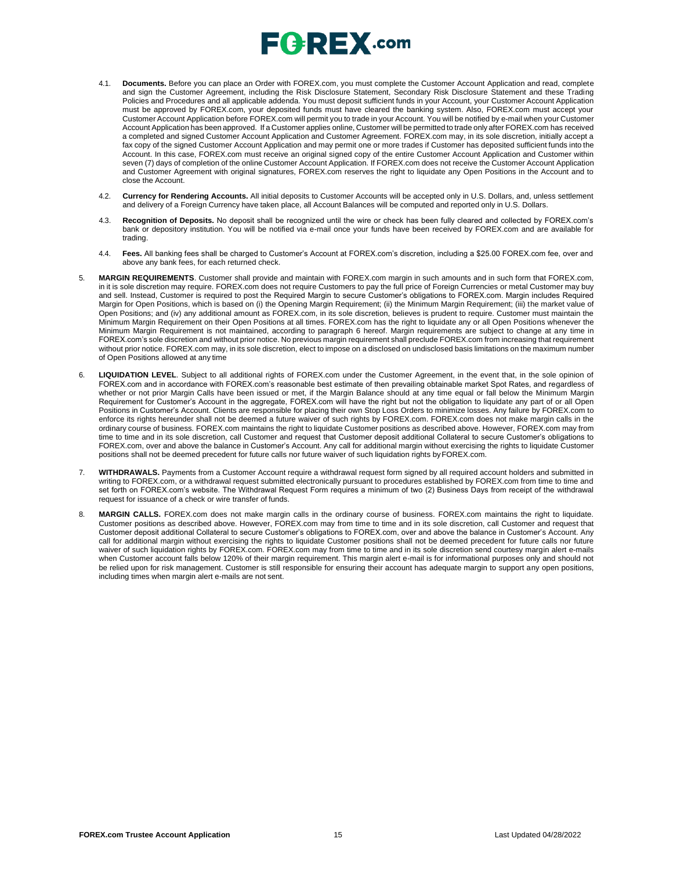# $\mathsf{E}$  (  $\mathsf{P}$   $\mathsf{R}$   $\mathsf{E}$   $\mathsf{X}$  .com

- 4.1. **Documents.** Before you can place an Order with FOREX.com, you must complete the Customer Account Application and read, complete and sign the Customer Agreement, including the Risk Disclosure Statement, Secondary Risk Disclosure Statement and these Trading Policies and Procedures and all applicable addenda. You must deposit sufficient funds in your Account, your Customer Account Application must be approved by FOREX.com, your deposited funds must have cleared the banking system. Also, FOREX.com must accept your Customer Account Application before FOREX.com will permit you to trade in your Account. You will be notified by e-mail when your Customer Account Application has been approved. If a Customer applies online, Customer will be permitted to trade only after FOREX.com has received a completed and signed Customer Account Application and Customer Agreement. FOREX.com may, in its sole discretion, initially accept a fax copy of the signed Customer Account Application and may permit one or more trades if Customer has deposited sufficient funds into the Account. In this case, FOREX.com must receive an original signed copy of the entire Customer Account Application and Customer within seven (7) days of completion of the online Customer Account Application. If FOREX.com does not receive the Customer Account Application and Customer Agreement with original signatures, FOREX.com reserves the right to liquidate any Open Positions in the Account and to close the Account.
- 4.2. **Currency for Rendering Accounts.** All initial deposits to Customer Accounts will be accepted only in U.S. Dollars, and, unless settlement and delivery of a Foreign Currency have taken place, all Account Balances will be computed and reported only in U.S. Dollars.
- 4.3. **Recognition of Deposits.** No deposit shall be recognized until the wire or check has been fully cleared and collected by FOREX.com's bank or depository institution. You will be notified via e-mail once your funds have been received by FOREX.com and are available for trading.
- 4.4. **Fees.** All banking fees shall be charged to Customer's Account at FOREX.com's discretion, including a \$25.00 FOREX.com fee, over and above any bank fees, for each returned check.
- 5. **MARGIN REQUIREMENTS**. Customer shall provide and maintain with FOREX.com margin in such amounts and in such form that FOREX.com, in it is sole discretion may require. FOREX.com does not require Customers to pay the full price of Foreign Currencies or metal Customer may buy and sell. Instead, Customer is required to post the Required Margin to secure Customer's obligations to FOREX.com. Margin includes Required Margin for Open Positions, which is based on (i) the Opening Margin Requirement; (ii) the Minimum Margin Requirement; (iii) the market value of Open Positions; and (iv) any additional amount as FOREX.com, in its sole discretion, believes is prudent to require. Customer must maintain the Minimum Margin Requirement on their Open Positions at all times. FOREX.com has the right to liquidate any or all Open Positions whenever the Minimum Margin Requirement is not maintained, according to paragraph 6 hereof. Margin requirements are subject to change at any time in FOREX.com's sole discretion and without prior notice. No previous margin requirement shall preclude FOREX.com from increasing that requirement without prior notice. FOREX.com may, in its sole discretion, elect to impose on a disclosed on undisclosed basis limitations on the maximum number of Open Positions allowed at any time
- 6. **LIQUIDATION LEVEL**. Subject to all additional rights of FOREX.com under the Customer Agreement, in the event that, in the sole opinion of FOREX.com and in accordance with FOREX.com's reasonable best estimate of then prevailing obtainable market Spot Rates, and regardless of whether or not prior Margin Calls have been issued or met, if the Margin Balance should at any time equal or fall below the Minimum Margin Requirement for Customer's Account in the aggregate, FOREX.com will have the right but not the obligation to liquidate any part of or all Open Positions in Customer's Account. Clients are responsible for placing their own Stop Loss Orders to minimize losses. Any failure by FOREX.com to enforce its rights hereunder shall not be deemed a future waiver of such rights by FOREX.com. FOREX.com does not make margin calls in the ordinary course of business. FOREX.com maintains the right to liquidate Customer positions as described above. However, FOREX.com may from time to time and in its sole discretion, call Customer and request that Customer deposit additional Collateral to secure Customer's obligations to FOREX.com, over and above the balance in Customer's Account. Any call for additional margin without exercising the rights to liquidate Customer positions shall not be deemed precedent for future calls nor future waiver of such liquidation rights byFOREX.com.
- 7. WITHDRAWALS. Payments from a Customer Account require a withdrawal request form signed by all required account holders and submitted in writing to FOREX.com, or a withdrawal request submitted electronically pursuant to procedures established by FOREX.com from time to time and set forth on FOREX.com's website. The Withdrawal Request Form requires a minimum of two (2) Business Days from receipt of the withdrawal request for issuance of a check or wire transfer of funds.
- 8. **MARGIN CALLS.** FOREX.com does not make margin calls in the ordinary course of business. FOREX.com maintains the right to liquidate. Customer positions as described above. However, FOREX.com may from time to time and in its sole discretion, call Customer and request that Customer deposit additional Collateral to secure Customer's obligations to FOREX.com, over and above the balance in Customer's Account. Any call for additional margin without exercising the rights to liquidate Customer positions shall not be deemed precedent for future calls nor future waiver of such liquidation rights by FOREX.com. FOREX.com may from time to time and in its sole discretion send courtesy margin alert e-mails when Customer account falls below 120% of their margin requirement. This margin alert e-mail is for informational purposes only and should not be relied upon for risk management. Customer is still responsible for ensuring their account has adequate margin to support any open positions, including times when margin alert e-mails are not sent.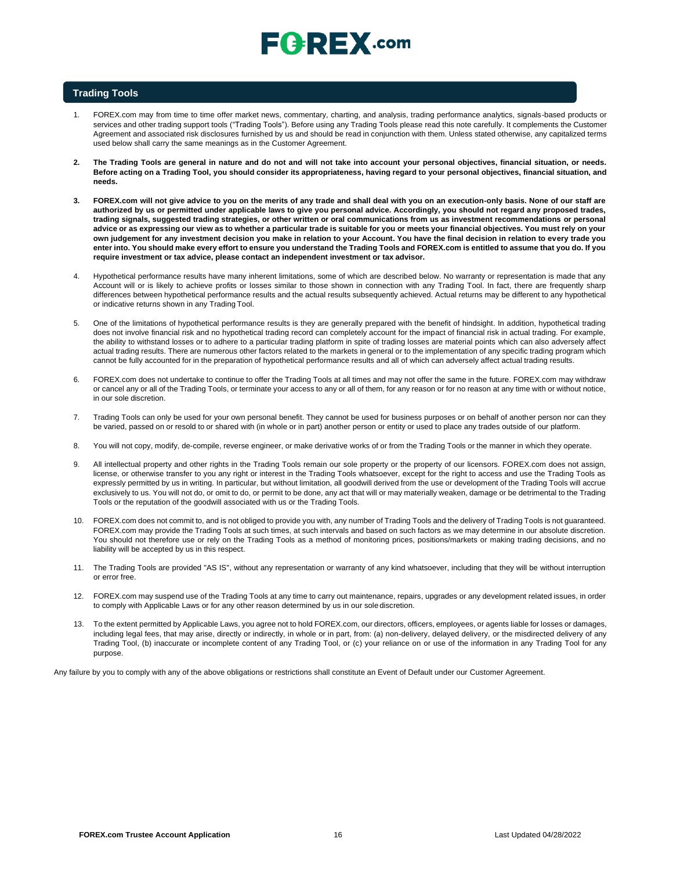# $E$ **Q**  $R$ **E** $X$ .com

### **Trading Tools**

- 1. FOREX.com may from time to time offer market news, commentary, charting, and analysis, trading performance analytics, signals-based products or services and other trading support tools ("Trading Tools"). Before using any Trading Tools please read this note carefully. It complements the Customer Agreement and associated risk disclosures furnished by us and should be read in conjunction with them. Unless stated otherwise, any capitalized terms used below shall carry the same meanings as in the Customer Agreement.
- **2. The Trading Tools are general in nature and do not and will not take into account your personal objectives, financial situation, or needs.**  Before acting on a Trading Tool, you should consider its appropriateness, having regard to your personal objectives, financial situation, and **needs.**
- **3. FOREX.com will not give advice to you on the merits of any trade and shall deal with you on an execution-only basis. None of our staff are authorized by us or permitted under applicable laws to give you personal advice. Accordingly, you should not regard any proposed trades, trading signals, suggested trading strategies, or other written or oral communications from us as investment recommendations or personal advice or as expressing our view as to whether a particular trade is suitable for you or meets your financial objectives. You must rely on your own judgement for any investment decision you make in relation to your Account. You have the final decision in relation to every trade you** enter into. You should make every effort to ensure you understand the Trading Tools and FOREX.com is entitled to assume that you do. If you **require investment or tax advice, please contact an independent investment or tax advisor.**
- 4. Hypothetical performance results have many inherent limitations, some of which are described below. No warranty or representation is made that any Account will or is likely to achieve profits or losses similar to those shown in connection with any Trading Tool. In fact, there are frequently sharp differences between hypothetical performance results and the actual results subsequently achieved. Actual returns may be different to any hypothetical or indicative returns shown in any Trading Tool.
- 5. One of the limitations of hypothetical performance results is they are generally prepared with the benefit of hindsight. In addition, hypothetical trading does not involve financial risk and no hypothetical trading record can completely account for the impact of financial risk in actual trading. For example, the ability to withstand losses or to adhere to a particular trading platform in spite of trading losses are material points which can also adversely affect actual trading results. There are numerous other factors related to the markets in general or to the implementation of any specific trading program which cannot be fully accounted for in the preparation of hypothetical performance results and all of which can adversely affect actual trading results.
- 6. FOREX.com does not undertake to continue to offer the Trading Tools at all times and may not offer the same in the future. FOREX.com may withdraw or cancel any or all of the Trading Tools, or terminate your access to any or all of them, for any reason or for no reason at any time with or without notice, in our sole discretion.
- 7. Trading Tools can only be used for your own personal benefit. They cannot be used for business purposes or on behalf of another person nor can they be varied, passed on or resold to or shared with (in whole or in part) another person or entity or used to place any trades outside of our platform.
- 8. You will not copy, modify, de-compile, reverse engineer, or make derivative works of or from the Trading Tools or the manner in which they operate.
- 9. All intellectual property and other rights in the Trading Tools remain our sole property or the property of our licensors. FOREX.com does not assign, license, or otherwise transfer to you any right or interest in the Trading Tools whatsoever, except for the right to access and use the Trading Tools as expressly permitted by us in writing. In particular, but without limitation, all goodwill derived from the use or development of the Trading Tools will accrue exclusively to us. You will not do, or omit to do, or permit to be done, any act that will or may materially weaken, damage or be detrimental to the Trading Tools or the reputation of the goodwill associated with us or the Trading Tools.
- 10. FOREX.com does not commit to, and is not obliged to provide you with, any number of Trading Tools and the delivery of Trading Tools is not guaranteed. FOREX.com may provide the Trading Tools at such times, at such intervals and based on such factors as we may determine in our absolute discretion. You should not therefore use or rely on the Trading Tools as a method of monitoring prices, positions/markets or making trading decisions, and no liability will be accepted by us in this respect.
- 11. The Trading Tools are provided "AS IS", without any representation or warranty of any kind whatsoever, including that they will be without interruption or error free.
- 12. FOREX.com may suspend use of the Trading Tools at any time to carry out maintenance, repairs, upgrades or any development related issues, in order to comply with Applicable Laws or for any other reason determined by us in our sole discretion.
- 13. To the extent permitted by Applicable Laws, you agree not to hold FOREX.com, our directors, officers, employees, or agents liable for losses or damages, including legal fees, that may arise, directly or indirectly, in whole or in part, from: (a) non-delivery, delayed delivery, or the misdirected delivery of any Trading Tool, (b) inaccurate or incomplete content of any Trading Tool, or (c) your reliance on or use of the information in any Trading Tool for any purpose.

Any failure by you to comply with any of the above obligations or restrictions shall constitute an Event of Default under our Customer Agreement.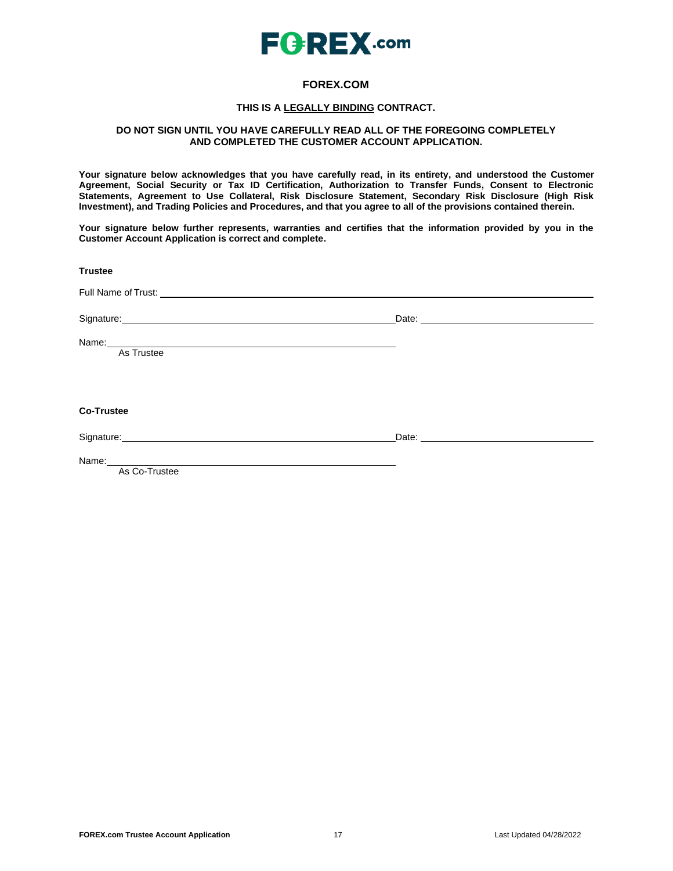

## **FOREX.COM**

### **THIS IS A LEGALLY BINDING CONTRACT.**

### **DO NOT SIGN UNTIL YOU HAVE CAREFULLY READ ALL OF THE FOREGOING COMPLETELY AND COMPLETED THE CUSTOMER ACCOUNT APPLICATION.**

**Your signature below acknowledges that you have carefully read, in its entirety, and understood the Customer Agreement, Social Security or Tax ID Certification, Authorization to Transfer Funds, Consent to Electronic Statements, Agreement to Use Collateral, Risk Disclosure Statement, Secondary Risk Disclosure (High Risk Investment), and Trading Policies and Procedures, and that you agree to all of the provisions contained therein.**

**Your signature below further represents, warranties and certifies that the information provided by you in the Customer Account Application is correct and complete.**

**Trustee** Full Name of Trust: Signature: Date: Date: Date: Date: Date: Date: Date: Date: Date: Date: Date: Date: Date: Date: Date: Date: Date: Date: Date: Date: Date: Date: Date: Date: Date: Date: Date: Date: Date: Date: Date: Date: Date: Date: Date: D Name: As Trustee **Co-Trustee** Signature: 2000 Contract Date: 2000 Contract Date: 2000 Date: 2000 Date: 2000 Date: 2000 Date: 2000 Date: 2000 Name: As Co-Trustee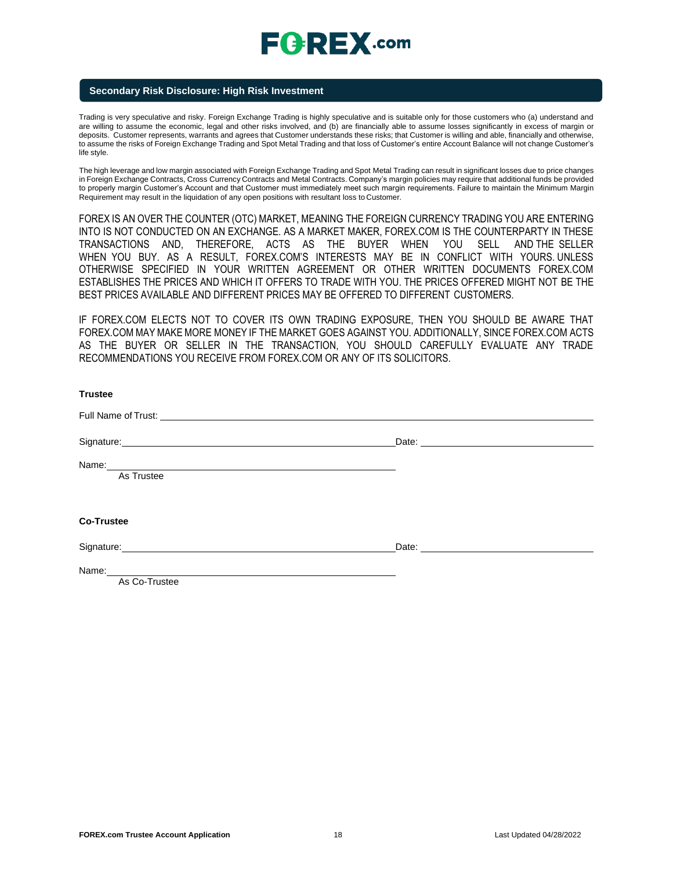### **Secondary Risk Disclosure: High Risk Investment**

Trading is very speculative and risky. Foreign Exchange Trading is highly speculative and is suitable only for those customers who (a) understand and are willing to assume the economic, legal and other risks involved, and (b) are financially able to assume losses significantly in excess of margin or deposits. Customer represents, warrants and agrees that Customer understands these risks; that Customer is willing and able, financially and otherwise, to assume the risks of Foreign Exchange Trading and Spot Metal Trading and that loss of Customer's entire Account Balance will not change Customer's life style.

The high leverage and low margin associated with Foreign Exchange Trading and Spot Metal Trading can result in significant losses due to price changes in Foreign Exchange Contracts, Cross Currency Contracts and Metal Contracts. Company's margin policies may require that additional funds be provided to properly margin Customer's Account and that Customer must immediately meet such margin requirements. Failure to maintain the Minimum Margin Requirement may result in the liquidation of any open positions with resultant loss to Customer.

FOREX IS AN OVER THE COUNTER (OTC) MARKET, MEANING THE FOREIGN CURRENCY TRADING YOU ARE ENTERING INTO IS NOT CONDUCTED ON AN EXCHANGE. AS A MARKET MAKER, FOREX.COM IS THE COUNTERPARTY IN THESE TRANSACTIONS AND, THEREFORE, ACTS AS THE BUYER WHEN YOU SELL AND THE SELLER WHEN YOU BUY. AS A RESULT, FOREX.COM'S INTERESTS MAY BE IN CONFLICT WITH YOURS. UNLESS OTHERWISE SPECIFIED IN YOUR WRITTEN AGREEMENT OR OTHER WRITTEN DOCUMENTS FOREX.COM ESTABLISHES THE PRICES AND WHICH IT OFFERS TO TRADE WITH YOU. THE PRICES OFFERED MIGHT NOT BE THE BEST PRICES AVAILABLE AND DIFFERENT PRICES MAY BE OFFERED TO DIFFERENT CUSTOMERS.

IF FOREX.COM ELECTS NOT TO COVER ITS OWN TRADING EXPOSURE, THEN YOU SHOULD BE AWARE THAT FOREX.COM MAY MAKE MORE MONEY IF THE MARKET GOES AGAINST YOU. ADDITIONALLY, SINCE FOREX.COM ACTS AS THE BUYER OR SELLER IN THE TRANSACTION, YOU SHOULD CAREFULLY EVALUATE ANY TRADE RECOMMENDATIONS YOU RECEIVE FROM FOREX.COM OR ANY OF ITS SOLICITORS.

| <b>Trustee</b>                                                                                                                                                                                                                              |                    |
|---------------------------------------------------------------------------------------------------------------------------------------------------------------------------------------------------------------------------------------------|--------------------|
|                                                                                                                                                                                                                                             |                    |
| Signature: <u>contract and a series of the series of the series of the series of the series of the series of the series of the series of the series of the series of the series of the series of the series of the series of the</u>        | Date: <u>Date:</u> |
| Name: Name: Name: Name: Name: Name: Name: Name: Name: Name: Name: Name: Name: Name: Name: Name: Name: Name: Name: Name: Name: Name: Name: Name: Name: Name: Name: Name: Name: Name: Name: Name: Name: Name: Name: Name: Name:<br>As Trustee |                    |
| <b>Co-Trustee</b>                                                                                                                                                                                                                           |                    |
|                                                                                                                                                                                                                                             |                    |
| Signature: Management of the Community of the Community of the Community of the Community of the Community of the Community of the Community of the Community of the Community of the Community of the Community of the Commun              | Date: <b>Date:</b> |
| As Co-Trustee                                                                                                                                                                                                                               |                    |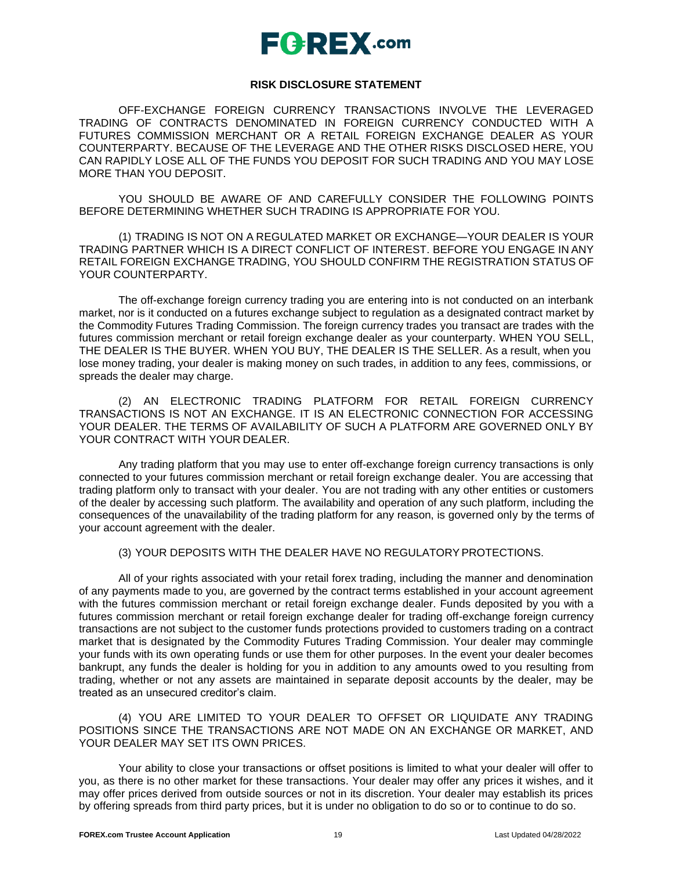## **RISK DISCLOSURE STATEMENT**

OFF-EXCHANGE FOREIGN CURRENCY TRANSACTIONS INVOLVE THE LEVERAGED TRADING OF CONTRACTS DENOMINATED IN FOREIGN CURRENCY CONDUCTED WITH A FUTURES COMMISSION MERCHANT OR A RETAIL FOREIGN EXCHANGE DEALER AS YOUR COUNTERPARTY. BECAUSE OF THE LEVERAGE AND THE OTHER RISKS DISCLOSED HERE, YOU CAN RAPIDLY LOSE ALL OF THE FUNDS YOU DEPOSIT FOR SUCH TRADING AND YOU MAY LOSE MORE THAN YOU DEPOSIT.

YOU SHOULD BE AWARE OF AND CAREFULLY CONSIDER THE FOLLOWING POINTS BEFORE DETERMINING WHETHER SUCH TRADING IS APPROPRIATE FOR YOU.

(1) TRADING IS NOT ON A REGULATED MARKET OR EXCHANGE—YOUR DEALER IS YOUR TRADING PARTNER WHICH IS A DIRECT CONFLICT OF INTEREST. BEFORE YOU ENGAGE IN ANY RETAIL FOREIGN EXCHANGE TRADING, YOU SHOULD CONFIRM THE REGISTRATION STATUS OF YOUR COUNTERPARTY.

The off-exchange foreign currency trading you are entering into is not conducted on an interbank market, nor is it conducted on a futures exchange subject to regulation as a designated contract market by the Commodity Futures Trading Commission. The foreign currency trades you transact are trades with the futures commission merchant or retail foreign exchange dealer as your counterparty. WHEN YOU SELL, THE DEALER IS THE BUYER. WHEN YOU BUY, THE DEALER IS THE SELLER. As a result, when you lose money trading, your dealer is making money on such trades, in addition to any fees, commissions, or spreads the dealer may charge.

(2) AN ELECTRONIC TRADING PLATFORM FOR RETAIL FOREIGN CURRENCY TRANSACTIONS IS NOT AN EXCHANGE. IT IS AN ELECTRONIC CONNECTION FOR ACCESSING YOUR DEALER. THE TERMS OF AVAILABILITY OF SUCH A PLATFORM ARE GOVERNED ONLY BY YOUR CONTRACT WITH YOUR DEALER.

Any trading platform that you may use to enter off-exchange foreign currency transactions is only connected to your futures commission merchant or retail foreign exchange dealer. You are accessing that trading platform only to transact with your dealer. You are not trading with any other entities or customers of the dealer by accessing such platform. The availability and operation of any such platform, including the consequences of the unavailability of the trading platform for any reason, is governed only by the terms of your account agreement with the dealer.

## (3) YOUR DEPOSITS WITH THE DEALER HAVE NO REGULATORYPROTECTIONS.

All of your rights associated with your retail forex trading, including the manner and denomination of any payments made to you, are governed by the contract terms established in your account agreement with the futures commission merchant or retail foreign exchange dealer. Funds deposited by you with a futures commission merchant or retail foreign exchange dealer for trading off-exchange foreign currency transactions are not subject to the customer funds protections provided to customers trading on a contract market that is designated by the Commodity Futures Trading Commission. Your dealer may commingle your funds with its own operating funds or use them for other purposes. In the event your dealer becomes bankrupt, any funds the dealer is holding for you in addition to any amounts owed to you resulting from trading, whether or not any assets are maintained in separate deposit accounts by the dealer, may be treated as an unsecured creditor's claim.

(4) YOU ARE LIMITED TO YOUR DEALER TO OFFSET OR LIQUIDATE ANY TRADING POSITIONS SINCE THE TRANSACTIONS ARE NOT MADE ON AN EXCHANGE OR MARKET, AND YOUR DEALER MAY SET ITS OWN PRICES.

Your ability to close your transactions or offset positions is limited to what your dealer will offer to you, as there is no other market for these transactions. Your dealer may offer any prices it wishes, and it may offer prices derived from outside sources or not in its discretion. Your dealer may establish its prices by offering spreads from third party prices, but it is under no obligation to do so or to continue to do so.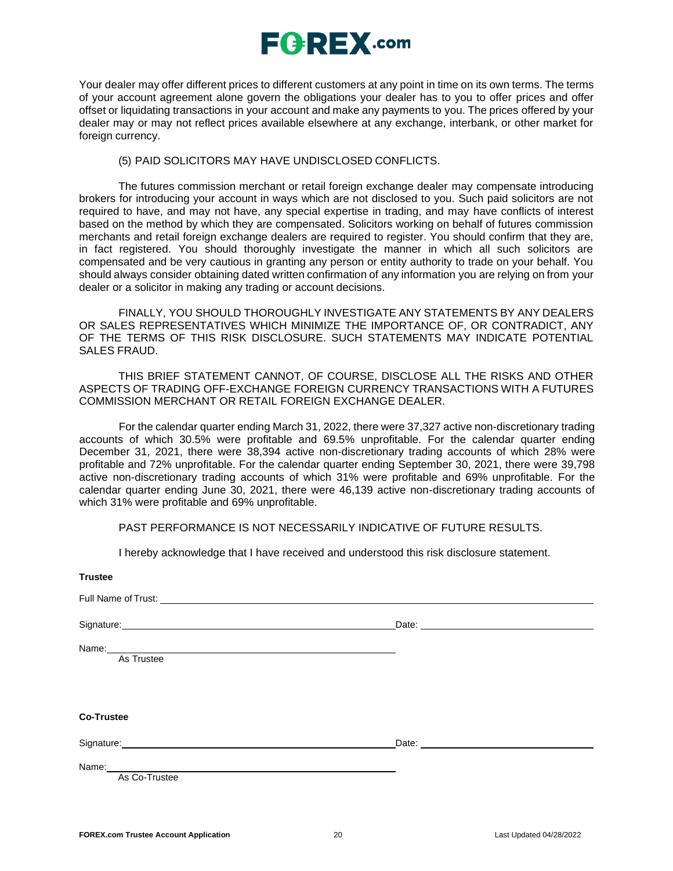

Your dealer may offer different prices to different customers at any point in time on its own terms. The terms of your account agreement alone govern the obligations your dealer has to you to offer prices and offer offset or liquidating transactions in your account and make any payments to you. The prices offered by your dealer may or may not reflect prices available elsewhere at any exchange, interbank, or other market for foreign currency.

### (5) PAID SOLICITORS MAY HAVE UNDISCLOSED CONFLICTS.

The futures commission merchant or retail foreign exchange dealer may compensate introducing brokers for introducing your account in ways which are not disclosed to you. Such paid solicitors are not required to have, and may not have, any special expertise in trading, and may have conflicts of interest based on the method by which they are compensated. Solicitors working on behalf of futures commission merchants and retail foreign exchange dealers are required to register. You should confirm that they are, in fact registered. You should thoroughly investigate the manner in which all such solicitors are compensated and be very cautious in granting any person or entity authority to trade on your behalf. You should always consider obtaining dated written confirmation of any information you are relying on from your dealer or a solicitor in making any trading or account decisions.

FINALLY, YOU SHOULD THOROUGHLY INVESTIGATE ANY STATEMENTS BY ANY DEALERS OR SALES REPRESENTATIVES WHICH MINIMIZE THE IMPORTANCE OF, OR CONTRADICT, ANY OF THE TERMS OF THIS RISK DISCLOSURE. SUCH STATEMENTS MAY INDICATE POTENTIAL SALES FRAUD.

THIS BRIEF STATEMENT CANNOT, OF COURSE, DISCLOSE ALL THE RISKS AND OTHER ASPECTS OF TRADING OFF-EXCHANGE FOREIGN CURRENCY TRANSACTIONS WITH A FUTURES COMMISSION MERCHANT OR RETAIL FOREIGN EXCHANGE DEALER.

For the calendar quarter ending March 31, 2022, there were 37,327 active non-discretionary trading accounts of which 30.5% were profitable and 69.5% unprofitable. For the calendar quarter ending December 31, 2021, there were 38,394 active non-discretionary trading accounts of which 28% were profitable and 72% unprofitable. For the calendar quarter ending September 30, 2021, there were 39,798 active non-discretionary trading accounts of which 31% were profitable and 69% unprofitable. For the calendar quarter ending June 30, 2021, there were 46,139 active non-discretionary trading accounts of which 31% were profitable and 69% unprofitable.

PAST PERFORMANCE IS NOT NECESSARILY INDICATIVE OF FUTURE RESULTS.

I hereby acknowledge that I have received and understood this risk disclosure statement.

| <b>Trustee</b>                                                                                                                                                                                                                                 |  |
|------------------------------------------------------------------------------------------------------------------------------------------------------------------------------------------------------------------------------------------------|--|
|                                                                                                                                                                                                                                                |  |
| Signature: Signature: Signature: Signature: Signature: Signature: Signature: Signature: Signature: Signature: Signature: Signature: Signature: Signature: Signature: Signature: Signature: Signature: Signature: Signature: Si                 |  |
| Name: Name: Name: Name: Name: Name: Name: Name: Name: Name: Name: Name: Name: Name: Name: Name: Name: Name: Name: Name: Name: Name: Name: Name: Name: Name: Name: Name: Name: Name: Name: Name: Name: Name: Name: Name: Name:<br>As Trustee    |  |
| <b>Co-Trustee</b>                                                                                                                                                                                                                              |  |
| Signature: <u>contract and a series of the series of the series of the series of the series of the series of the series of the series of the series of the series of the series of the series of the series of the series of the</u>           |  |
| Name: Name: Name: Name: Name: Name: Name: Name: Name: Name: Name: Name: Name: Name: Name: Name: Name: Name: Name: Name: Name: Name: Name: Name: Name: Name: Name: Name: Name: Name: Name: Name: Name: Name: Name: Name: Name:<br>As Co-Trustee |  |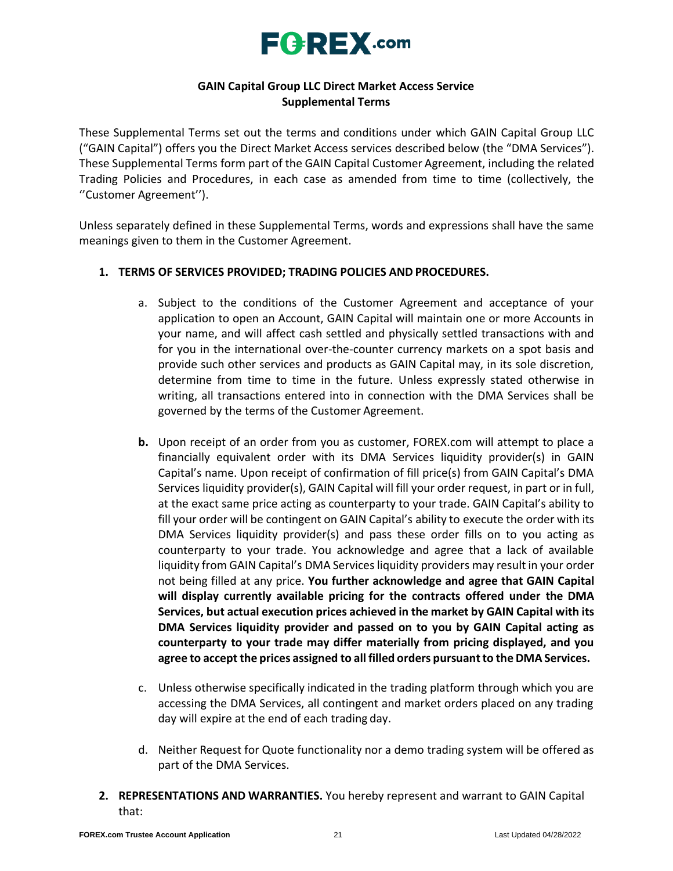

## **GAIN Capital Group LLC Direct Market Access Service Supplemental Terms**

These Supplemental Terms set out the terms and conditions under which GAIN Capital Group LLC ("GAIN Capital") offers you the Direct Market Access services described below (the "DMA Services"). These Supplemental Terms form part of the GAIN Capital Customer Agreement, including the related Trading Policies and Procedures, in each case as amended from time to time (collectively, the ''Customer Agreement'').

Unless separately defined in these Supplemental Terms, words and expressions shall have the same meanings given to them in the Customer Agreement.

## **1. TERMS OF SERVICES PROVIDED; TRADING POLICIES AND PROCEDURES.**

- a. Subject to the conditions of the Customer Agreement and acceptance of your application to open an Account, GAIN Capital will maintain one or more Accounts in your name, and will affect cash settled and physically settled transactions with and for you in the international over-the-counter currency markets on a spot basis and provide such other services and products as GAIN Capital may, in its sole discretion, determine from time to time in the future. Unless expressly stated otherwise in writing, all transactions entered into in connection with the DMA Services shall be governed by the terms of the Customer Agreement.
- **b.** Upon receipt of an order from you as customer, FOREX.com will attempt to place a financially equivalent order with its DMA Services liquidity provider(s) in GAIN Capital's name. Upon receipt of confirmation of fill price(s) from GAIN Capital's DMA Services liquidity provider(s), GAIN Capital will fill your order request, in part or in full, at the exact same price acting as counterparty to your trade. GAIN Capital's ability to fill your order will be contingent on GAIN Capital's ability to execute the order with its DMA Services liquidity provider(s) and pass these order fills on to you acting as counterparty to your trade. You acknowledge and agree that a lack of available liquidity from GAIN Capital's DMA Services liquidity providers may result in your order not being filled at any price. **You further acknowledge and agree that GAIN Capital will display currently available pricing for the contracts offered under the DMA Services, but actual execution prices achieved in the market by GAIN Capital with its DMA Services liquidity provider and passed on to you by GAIN Capital acting as counterparty to your trade may differ materially from pricing displayed, and you agree to accept the prices assigned to all filled orders pursuantto the DMA Services.**
- c. Unless otherwise specifically indicated in the trading platform through which you are accessing the DMA Services, all contingent and market orders placed on any trading day will expire at the end of each trading day.
- d. Neither Request for Quote functionality nor a demo trading system will be offered as part of the DMA Services.
- **2. REPRESENTATIONS AND WARRANTIES.** You hereby represent and warrant to GAIN Capital that: